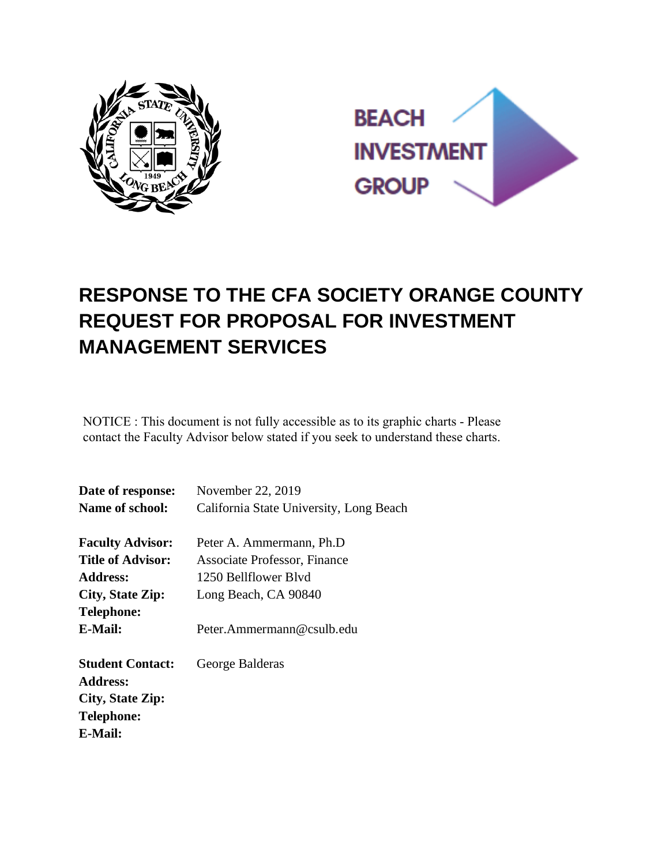



# **RESPONSE TO THE CFA SOCIETY ORANGE COUNTY REQUEST FOR PROPOSAL FOR INVESTMENT MANAGEMENT SERVICES**

NOTICE : This document is not fully accessible as to its graphic charts - Please contact the Faculty Advisor below stated if you seek to understand these charts.

| Date of response:                   | November 22, 2019                       |
|-------------------------------------|-----------------------------------------|
| Name of school:                     | California State University, Long Beach |
| <b>Faculty Advisor:</b>             | Peter A. Ammermann, Ph.D.               |
| Title of Advisor:                   | Associate Professor, Finance            |
| <b>Address:</b>                     | 1250 Bellflower Blyd                    |
| City, State Zip:                    | Long Beach, CA 90840                    |
| <b>Telephone:</b>                   |                                         |
| E-Mail:                             | Peter.Ammermann@csulb.edu               |
| <b>Student Contact:</b><br>Address: | George Balderas                         |
| City, State Zip:                    |                                         |
| <b>Telephone:</b>                   |                                         |
| E-Mail:                             |                                         |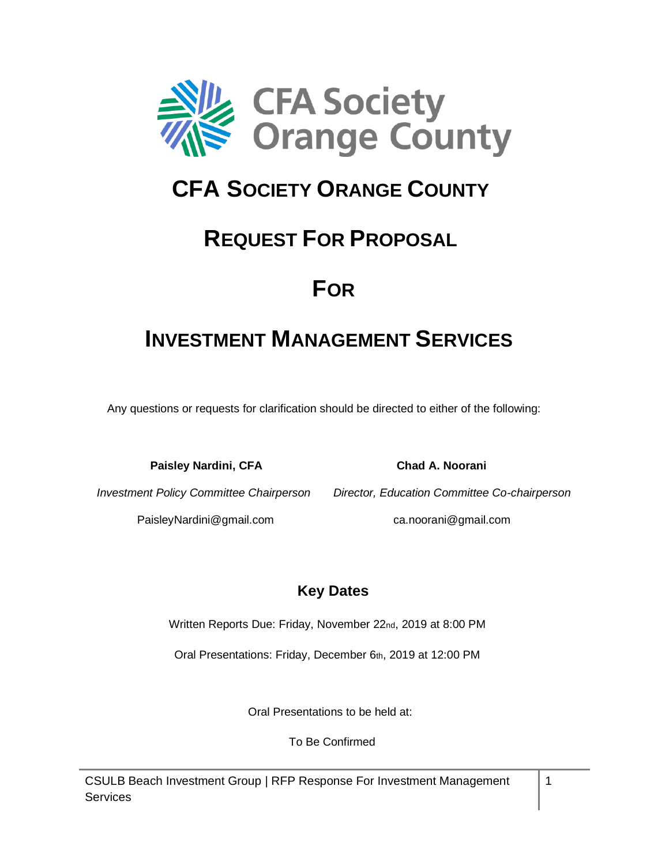

# **CFA SOCIETY ORANGE COUNTY**

# **REQUEST FOR PROPOSAL**

# **FOR**

# **INVESTMENT MANAGEMENT SERVICES**

Any questions or requests for clarification should be directed to either of the following:

**Paisley Nardini, CFA Chad A. Noorani** 

PaisleyNardini@gmail.com ca.noorani@gmail.com

*Investment Policy Committee Chairperson Director, Education Committee Co-chairperson* 

# **Key Dates**

Written Reports Due: Friday, November 22nd, 2019 at 8:00 PM

Oral Presentations: Friday, December 6th, 2019 at 12:00 PM

Oral Presentations to be held at:

To Be Confirmed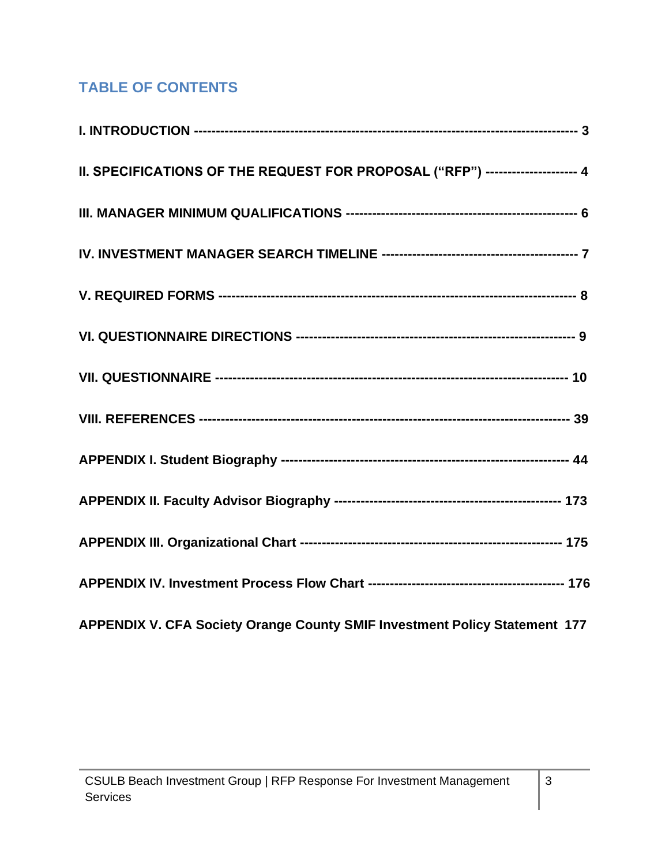## **TABLE OF CONTENTS**

| II. SPECIFICATIONS OF THE REQUEST FOR PROPOSAL ("RFP") -------------------- 4 |  |
|-------------------------------------------------------------------------------|--|
|                                                                               |  |
|                                                                               |  |
|                                                                               |  |
|                                                                               |  |
|                                                                               |  |
|                                                                               |  |
|                                                                               |  |
|                                                                               |  |
|                                                                               |  |
|                                                                               |  |
| APPENDIX V. CFA Society Orange County SMIF Investment Policy Statement 177    |  |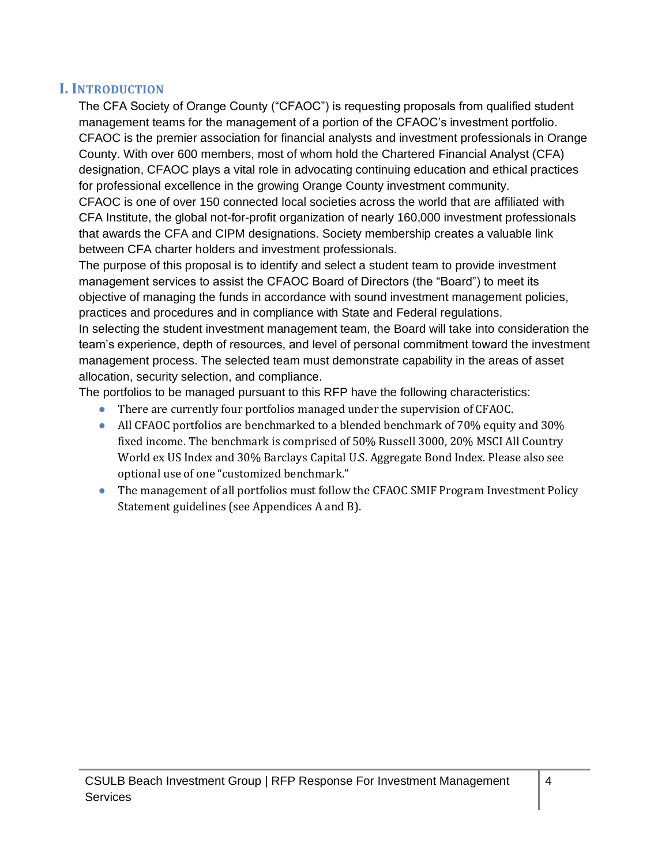## **I. INTRODUCTION**

The CFA Society of Orange County ("CFAOC") is requesting proposals from qualified student management teams for the management of a portion of the CFAOC's investment portfolio. CFAOC is the premier association for financial analysts and investment professionals in Orange County. With over 600 members, most of whom hold the Chartered Financial Analyst (CFA) designation, CFAOC plays a vital role in advocating continuing education and ethical practices for professional excellence in the growing Orange County investment community.

CFAOC is one of over 150 connected local societies across the world that are affiliated with CFA Institute, the global not-for-profit organization of nearly 160,000 investment professionals that awards the CFA and CIPM designations. Society membership creates a valuable link between CFA charter holders and investment professionals.

The purpose of this proposal is to identify and select a student team to provide investment management services to assist the CFAOC Board of Directors (the "Board") to meet its objective of managing the funds in accordance with sound investment management policies, practices and procedures and in compliance with State and Federal regulations.

In selecting the student investment management team, the Board will take into consideration the team's experience, depth of resources, and level of personal commitment toward the investment management process. The selected team must demonstrate capability in the areas of asset allocation, security selection, and compliance.

The portfolios to be managed pursuant to this RFP have the following characteristics:

- There are currently four portfolios managed under the supervision of CFAOC.
- All CFAOC portfolios are benchmarked to a blended benchmark of 70% equity and 30% fixed income. The benchmark is comprised of 50% Russell 3000, 20% MSCI All Country World ex US Index and 30% Barclays Capital U.S. Aggregate Bond Index. Please also see optional use of one "customized benchmark."
- The management of all portfolios must follow the CFAOC SMIF Program Investment Policy Statement guidelines (see Appendices A and B).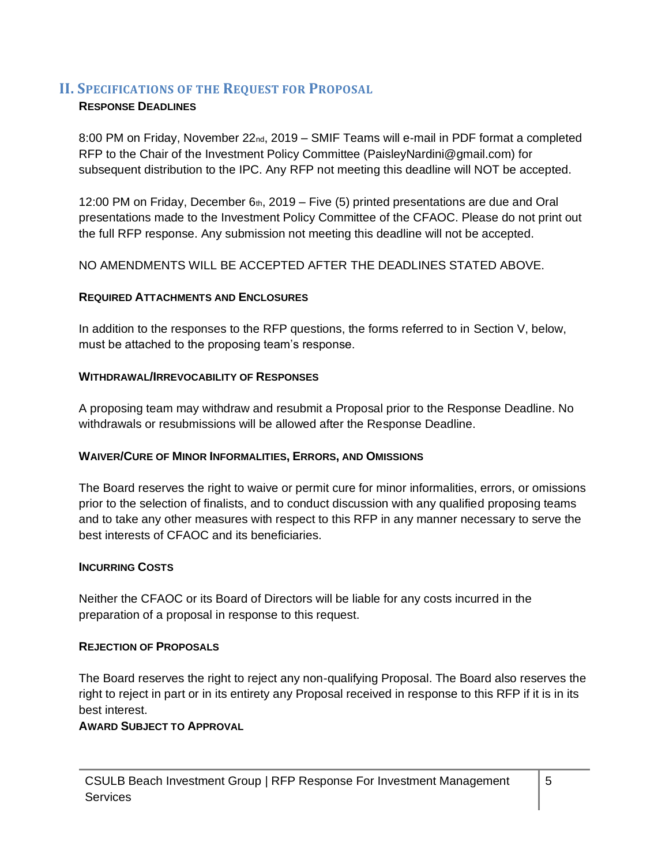#### **II. SPECIFICATIONS OF THE REQUEST FOR PROPOSAL**

#### **RESPONSE DEADLINES**

8:00 PM on Friday, November 22nd, 2019 – SMIF Teams will e-mail in PDF format a completed RFP to the Chair of the Investment Policy Committee (PaisleyNardini@gmail.com) for subsequent distribution to the IPC. Any RFP not meeting this deadline will NOT be accepted.

12:00 PM on Friday, December  $6<sub>th</sub>$ , 2019 – Five (5) printed presentations are due and Oral presentations made to the Investment Policy Committee of the CFAOC. Please do not print out the full RFP response. Any submission not meeting this deadline will not be accepted.

#### NO AMENDMENTS WILL BE ACCEPTED AFTER THE DEADLINES STATED ABOVE.

#### **REQUIRED ATTACHMENTS AND ENCLOSURES**

In addition to the responses to the RFP questions, the forms referred to in Section V, below, must be attached to the proposing team's response.

#### **WITHDRAWAL/IRREVOCABILITY OF RESPONSES**

A proposing team may withdraw and resubmit a Proposal prior to the Response Deadline. No withdrawals or resubmissions will be allowed after the Response Deadline.

#### **WAIVER/CURE OF MINOR INFORMALITIES, ERRORS, AND OMISSIONS**

The Board reserves the right to waive or permit cure for minor informalities, errors, or omissions prior to the selection of finalists, and to conduct discussion with any qualified proposing teams and to take any other measures with respect to this RFP in any manner necessary to serve the best interests of CFAOC and its beneficiaries.

#### **INCURRING COSTS**

Neither the CFAOC or its Board of Directors will be liable for any costs incurred in the preparation of a proposal in response to this request.

#### **REJECTION OF PROPOSALS**

The Board reserves the right to reject any non-qualifying Proposal. The Board also reserves the right to reject in part or in its entirety any Proposal received in response to this RFP if it is in its best interest.

#### **AWARD SUBJECT TO APPROVAL**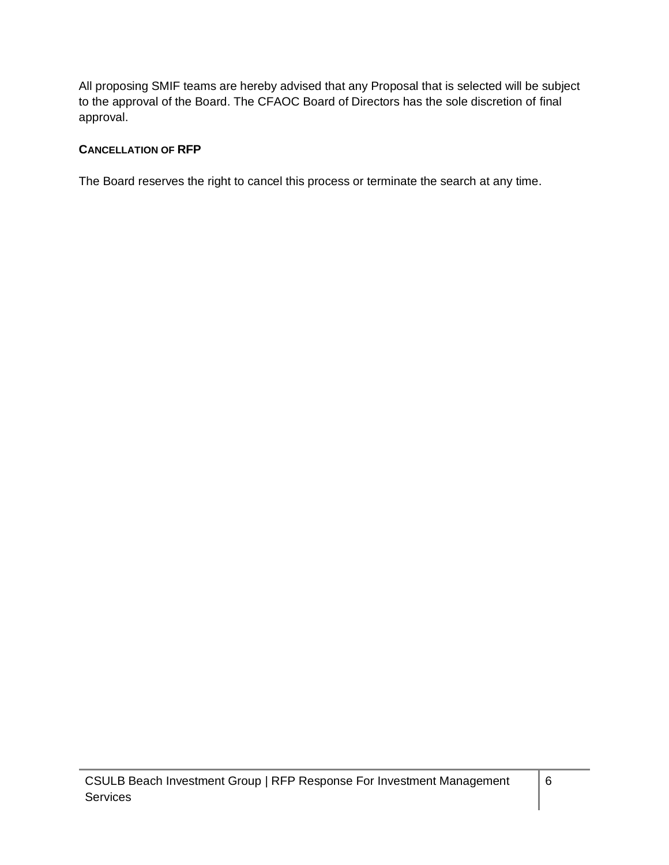All proposing SMIF teams are hereby advised that any Proposal that is selected will be subject to the approval of the Board. The CFAOC Board of Directors has the sole discretion of final approval.

#### **CANCELLATION OF RFP**

The Board reserves the right to cancel this process or terminate the search at any time.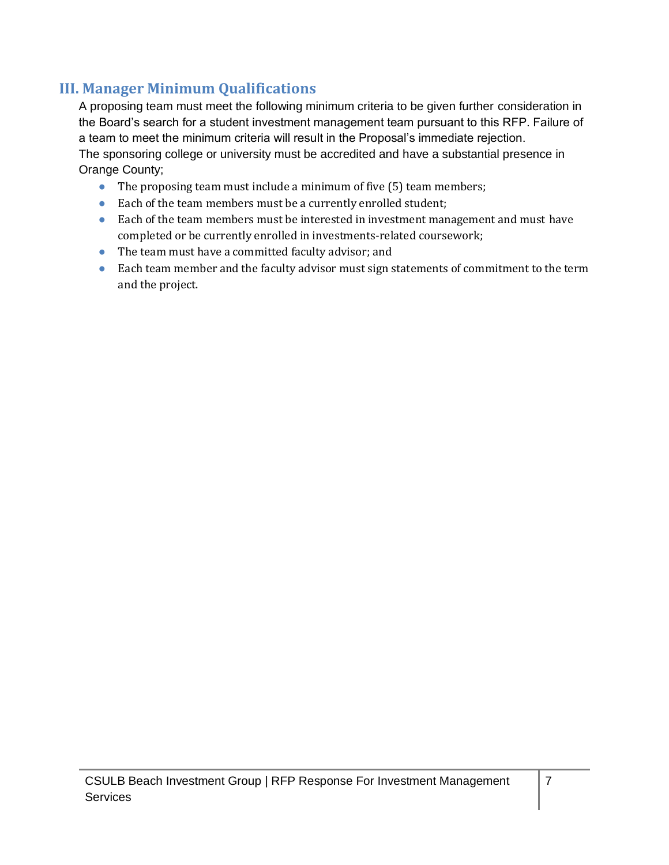## **III. Manager Minimum Qualifications**

A proposing team must meet the following minimum criteria to be given further consideration in the Board's search for a student investment management team pursuant to this RFP. Failure of a team to meet the minimum criteria will result in the Proposal's immediate rejection.

The sponsoring college or university must be accredited and have a substantial presence in Orange County;

- The proposing team must include a minimum of five (5) team members;
- Each of the team members must be a currently enrolled student;
- Each of the team members must be interested in investment management and must have completed or be currently enrolled in investments-related coursework;
- The team must have a committed faculty advisor; and
- Each team member and the faculty advisor must sign statements of commitment to the term and the project.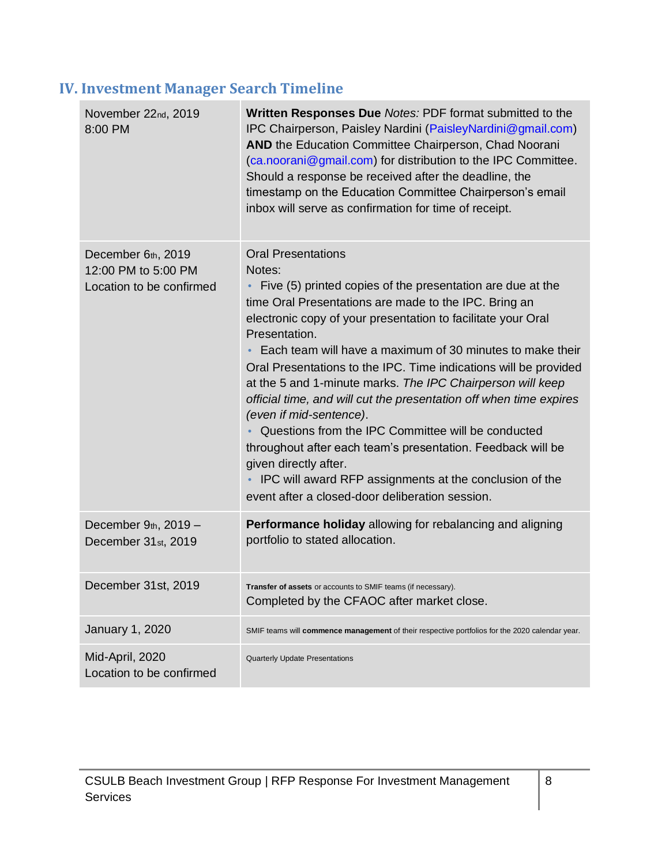# **IV. Investment Manager Search Timeline**

| November 22nd, 2019<br>8:00 PM                                        | Written Responses Due Notes: PDF format submitted to the<br>IPC Chairperson, Paisley Nardini (PaisleyNardini@gmail.com)<br>AND the Education Committee Chairperson, Chad Noorani<br>(ca.noorani@gmail.com) for distribution to the IPC Committee.<br>Should a response be received after the deadline, the<br>timestamp on the Education Committee Chairperson's email<br>inbox will serve as confirmation for time of receipt.                                                                                                                                                                                                                                                                                                                                                                                 |
|-----------------------------------------------------------------------|-----------------------------------------------------------------------------------------------------------------------------------------------------------------------------------------------------------------------------------------------------------------------------------------------------------------------------------------------------------------------------------------------------------------------------------------------------------------------------------------------------------------------------------------------------------------------------------------------------------------------------------------------------------------------------------------------------------------------------------------------------------------------------------------------------------------|
| December 6th, 2019<br>12:00 PM to 5:00 PM<br>Location to be confirmed | <b>Oral Presentations</b><br>Notes:<br>• Five (5) printed copies of the presentation are due at the<br>time Oral Presentations are made to the IPC. Bring an<br>electronic copy of your presentation to facilitate your Oral<br>Presentation.<br>• Each team will have a maximum of 30 minutes to make their<br>Oral Presentations to the IPC. Time indications will be provided<br>at the 5 and 1-minute marks. The IPC Chairperson will keep<br>official time, and will cut the presentation off when time expires<br>(even if mid-sentence).<br>• Questions from the IPC Committee will be conducted<br>throughout after each team's presentation. Feedback will be<br>given directly after.<br>• IPC will award RFP assignments at the conclusion of the<br>event after a closed-door deliberation session. |
| December 9th, 2019 -<br>December 31st, 2019                           | Performance holiday allowing for rebalancing and aligning<br>portfolio to stated allocation.                                                                                                                                                                                                                                                                                                                                                                                                                                                                                                                                                                                                                                                                                                                    |
| December 31st, 2019                                                   | Transfer of assets or accounts to SMIF teams (if necessary).<br>Completed by the CFAOC after market close.                                                                                                                                                                                                                                                                                                                                                                                                                                                                                                                                                                                                                                                                                                      |
| <b>January 1, 2020</b>                                                | SMIF teams will <b>commence management</b> of their respective portfolios for the 2020 calendar year.                                                                                                                                                                                                                                                                                                                                                                                                                                                                                                                                                                                                                                                                                                           |
| Mid-April, 2020<br>Location to be confirmed                           | <b>Quarterly Update Presentations</b>                                                                                                                                                                                                                                                                                                                                                                                                                                                                                                                                                                                                                                                                                                                                                                           |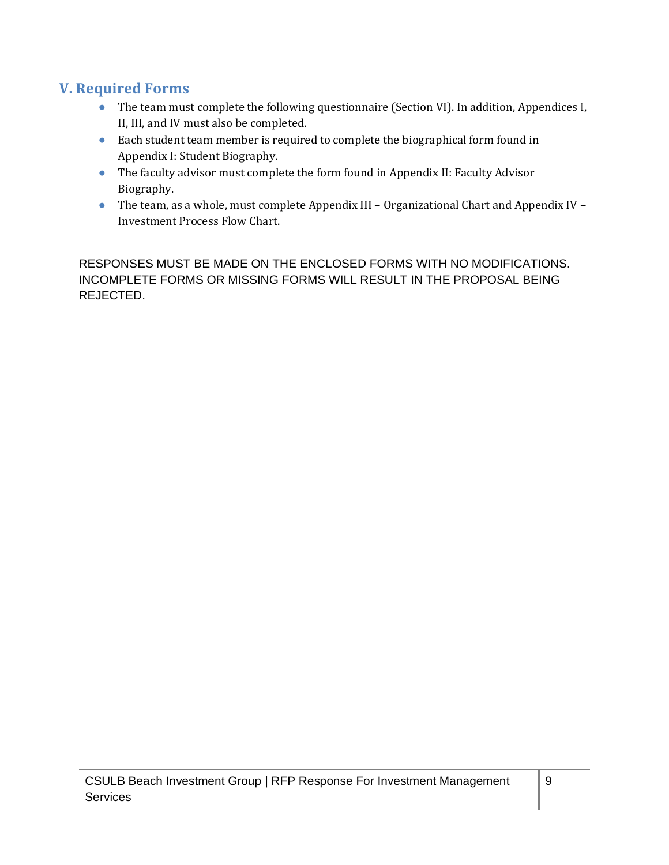## **V. Required Forms**

- The team must complete the following questionnaire (Section VI). In addition, Appendices I, II, III, and IV must also be completed.
- Each student team member is required to complete the biographical form found in Appendix I: Student Biography.
- The faculty advisor must complete the form found in Appendix II: Faculty Advisor Biography.
- The team, as a whole, must complete Appendix III Organizational Chart and Appendix IV Investment Process Flow Chart.

RESPONSES MUST BE MADE ON THE ENCLOSED FORMS WITH NO MODIFICATIONS. INCOMPLETE FORMS OR MISSING FORMS WILL RESULT IN THE PROPOSAL BEING REJECTED.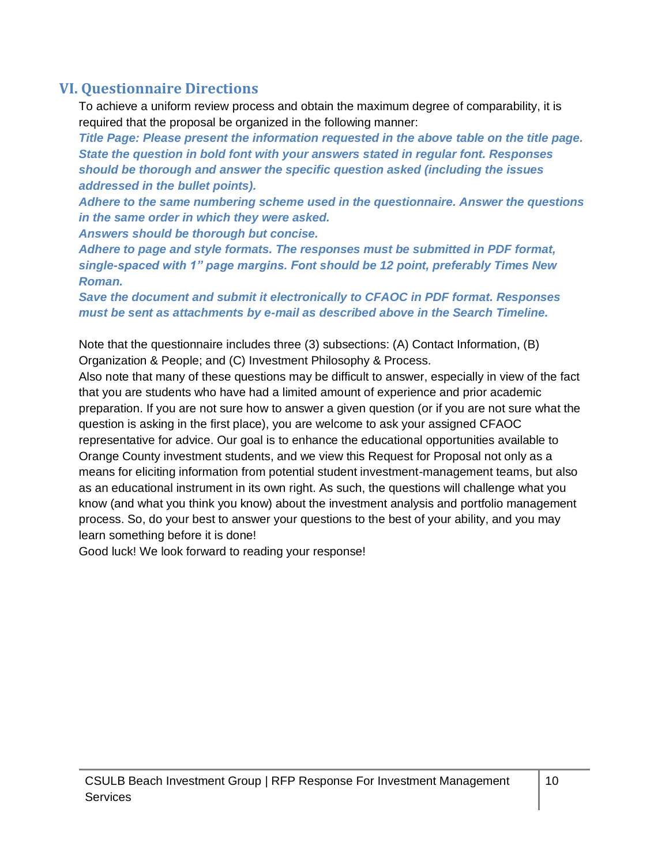## **VI. Questionnaire Directions**

To achieve a uniform review process and obtain the maximum degree of comparability, it is required that the proposal be organized in the following manner:

*Title Page: Please present the information requested in the above table on the title page. State the question in bold font with your answers stated in regular font. Responses should be thorough and answer the specific question asked (including the issues addressed in the bullet points).*

*Adhere to the same numbering scheme used in the questionnaire. Answer the questions in the same order in which they were asked.*

*Answers should be thorough but concise.*

*Adhere to page and style formats. The responses must be submitted in PDF format, single-spaced with 1" page margins. Font should be 12 point, preferably Times New Roman.*

*Save the document and submit it electronically to CFAOC in PDF format. Responses must be sent as attachments by e-mail as described above in the Search Timeline.*

Note that the questionnaire includes three (3) subsections: (A) Contact Information, (B) Organization & People; and (C) Investment Philosophy & Process.

Also note that many of these questions may be difficult to answer, especially in view of the fact that you are students who have had a limited amount of experience and prior academic preparation. If you are not sure how to answer a given question (or if you are not sure what the question is asking in the first place), you are welcome to ask your assigned CFAOC representative for advice. Our goal is to enhance the educational opportunities available to Orange County investment students, and we view this Request for Proposal not only as a means for eliciting information from potential student investment-management teams, but also as an educational instrument in its own right. As such, the questions will challenge what you know (and what you think you know) about the investment analysis and portfolio management process. So, do your best to answer your questions to the best of your ability, and you may learn something before it is done!

Good luck! We look forward to reading your response!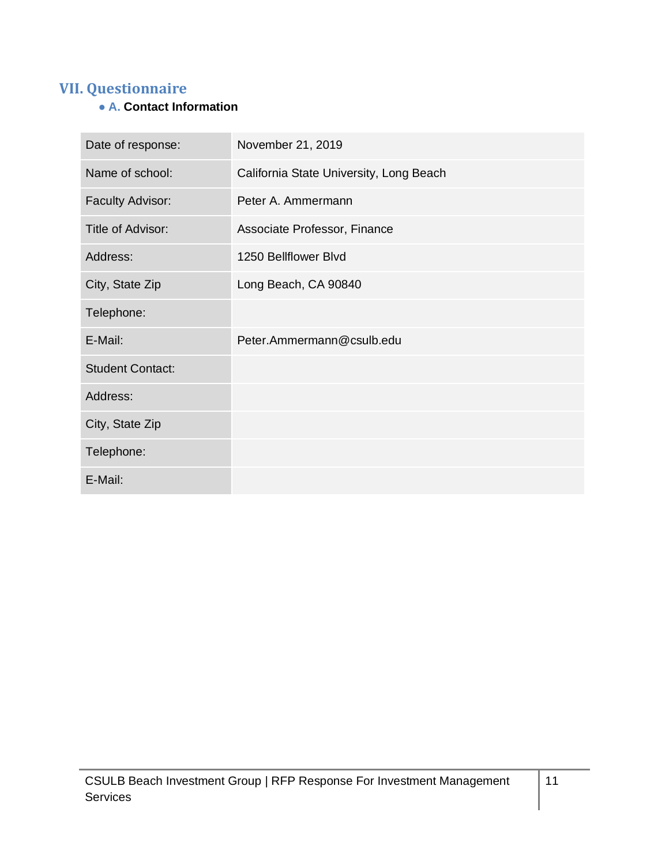# **VII. Questionnaire**

## ● **A. Contact Information**

| Date of response:       | November 21, 2019                       |
|-------------------------|-----------------------------------------|
| Name of school:         | California State University, Long Beach |
| <b>Faculty Advisor:</b> | Peter A. Ammermann                      |
| Title of Advisor:       | Associate Professor, Finance            |
| Address:                | 1250 Bellflower Blvd                    |
| City, State Zip         | Long Beach, CA 90840                    |
| Telephone:              |                                         |
| E-Mail:                 | Peter.Ammermann@csulb.edu               |
| <b>Student Contact:</b> |                                         |
| Address:                |                                         |
| City, State Zip         |                                         |
| Telephone:              |                                         |
| E-Mail:                 |                                         |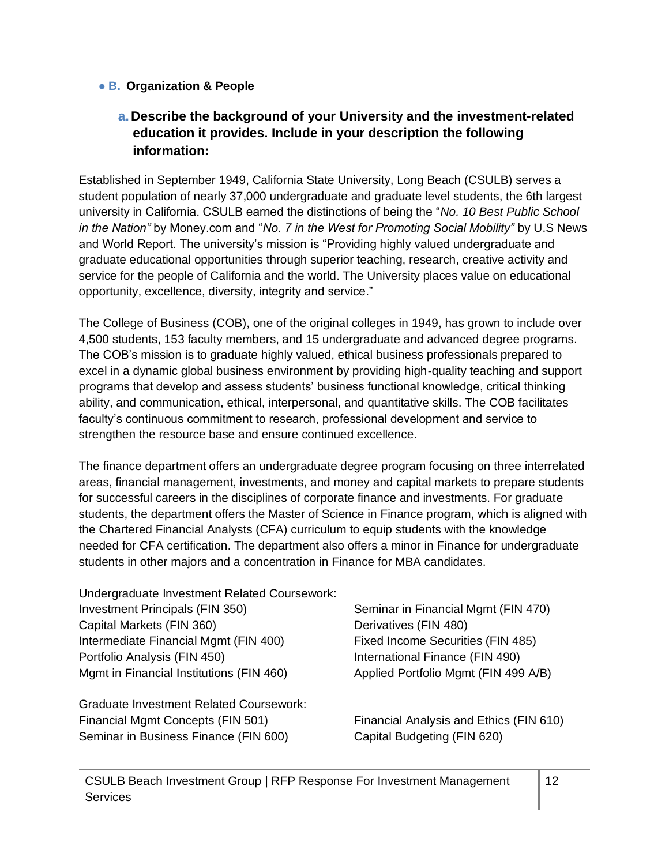#### ● **B. Organization & People**

## **a.Describe the background of your University and the investment-related education it provides. Include in your description the following information:**

Established in September 1949, California State University, Long Beach (CSULB) serves a student population of nearly 37,000 undergraduate and graduate level students, the 6th largest university in California. CSULB earned the distinctions of being the "*No. 10 Best Public School in the Nation"* by Money.com and "*No. 7 in the West for Promoting Social Mobility"* by U.S News and World Report. The university's mission is "Providing highly valued undergraduate and graduate educational opportunities through superior teaching, research, creative activity and service for the people of California and the world. The University places value on educational opportunity, excellence, diversity, integrity and service."

The College of Business (COB), one of the original colleges in 1949, has grown to include over 4,500 students, 153 faculty members, and 15 undergraduate and advanced degree programs. The COB's mission is to graduate highly valued, ethical business professionals prepared to excel in a dynamic global business environment by providing high-quality teaching and support programs that develop and assess students' business functional knowledge, critical thinking ability, and communication, ethical, interpersonal, and quantitative skills. The COB facilitates faculty's continuous commitment to research, professional development and service to strengthen the resource base and ensure continued excellence.

The finance department offers an undergraduate degree program focusing on three interrelated areas, financial management, investments, and money and capital markets to prepare students for successful careers in the disciplines of corporate finance and investments. For graduate students, the department offers the Master of Science in Finance program, which is aligned with the Chartered Financial Analysts (CFA) curriculum to equip students with the knowledge needed for CFA certification. The department also offers a minor in Finance for undergraduate students in other majors and a concentration in Finance for MBA candidates.

Undergraduate Investment Related Coursework: Investment Principals (FIN 350) Capital Markets (FIN 360) Intermediate Financial Mgmt (FIN 400) Portfolio Analysis (FIN 450) Mgmt in Financial Institutions (FIN 460)

Graduate Investment Related Coursework: Financial Mgmt Concepts (FIN 501) Seminar in Business Finance (FIN 600)

Seminar in Financial Mgmt (FIN 470) Derivatives (FIN 480) Fixed Income Securities (FIN 485) International Finance (FIN 490) Applied Portfolio Mgmt (FIN 499 A/B)

Financial Analysis and Ethics (FIN 610) Capital Budgeting (FIN 620)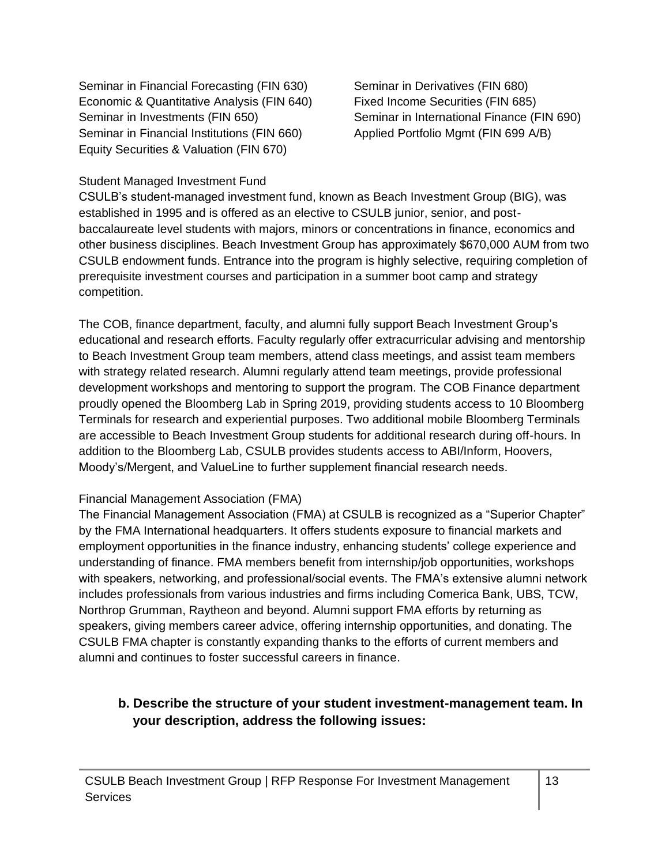Seminar in Financial Forecasting (FIN 630) Economic & Quantitative Analysis (FIN 640) Seminar in Investments (FIN 650) Seminar in Financial Institutions (FIN 660) Equity Securities & Valuation (FIN 670)

Seminar in Derivatives (FIN 680) Fixed Income Securities (FIN 685) Seminar in International Finance (FIN 690) Applied Portfolio Mgmt (FIN 699 A/B)

#### Student Managed Investment Fund

CSULB's student-managed investment fund, known as Beach Investment Group (BIG), was established in 1995 and is offered as an elective to CSULB junior, senior, and postbaccalaureate level students with majors, minors or concentrations in finance, economics and other business disciplines. Beach Investment Group has approximately \$670,000 AUM from two CSULB endowment funds. Entrance into the program is highly selective, requiring completion of prerequisite investment courses and participation in a summer boot camp and strategy competition.

The COB, finance department, faculty, and alumni fully support Beach Investment Group's educational and research efforts. Faculty regularly offer extracurricular advising and mentorship to Beach Investment Group team members, attend class meetings, and assist team members with strategy related research. Alumni regularly attend team meetings, provide professional development workshops and mentoring to support the program. The COB Finance department proudly opened the Bloomberg Lab in Spring 2019, providing students access to 10 Bloomberg Terminals for research and experiential purposes. Two additional mobile Bloomberg Terminals are accessible to Beach Investment Group students for additional research during off-hours. In addition to the Bloomberg Lab, CSULB provides students access to ABI/Inform, Hoovers, Moody's/Mergent, and ValueLine to further supplement financial research needs.

#### Financial Management Association (FMA)

The Financial Management Association (FMA) at CSULB is recognized as a "Superior Chapter" by the FMA International headquarters. It offers students exposure to financial markets and employment opportunities in the finance industry, enhancing students' college experience and understanding of finance. FMA members benefit from internship/job opportunities, workshops with speakers, networking, and professional/social events. The FMA's extensive alumni network includes professionals from various industries and firms including Comerica Bank, UBS, TCW, Northrop Grumman, Raytheon and beyond. Alumni support FMA efforts by returning as speakers, giving members career advice, offering internship opportunities, and donating. The CSULB FMA chapter is constantly expanding thanks to the efforts of current members and alumni and continues to foster successful careers in finance.

#### **b. Describe the structure of your student investment-management team. In your description, address the following issues:**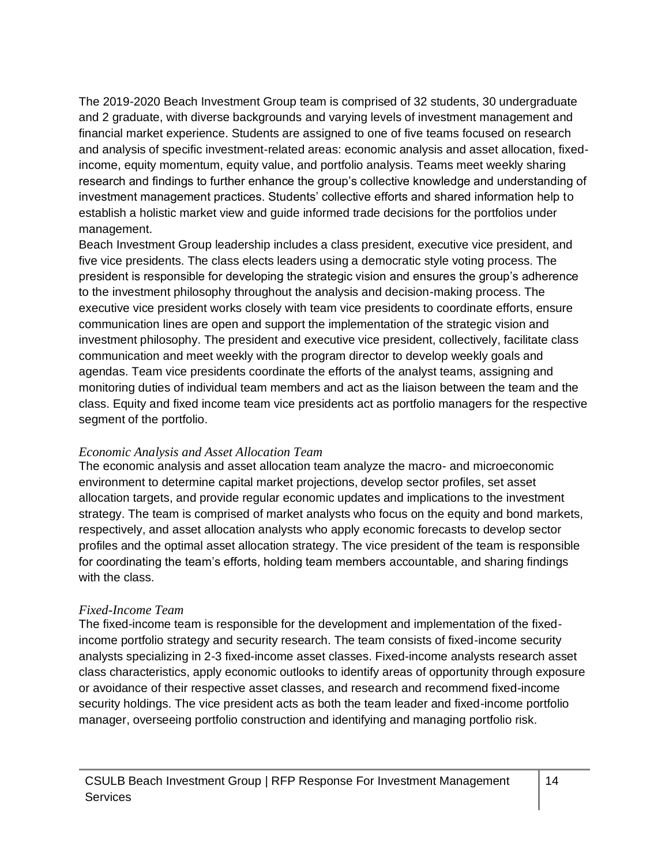The 2019-2020 Beach Investment Group team is comprised of 32 students, 30 undergraduate and 2 graduate, with diverse backgrounds and varying levels of investment management and financial market experience. Students are assigned to one of five teams focused on research and analysis of specific investment-related areas: economic analysis and asset allocation, fixedincome, equity momentum, equity value, and portfolio analysis. Teams meet weekly sharing research and findings to further enhance the group's collective knowledge and understanding of investment management practices. Students' collective efforts and shared information help to establish a holistic market view and guide informed trade decisions for the portfolios under management.

Beach Investment Group leadership includes a class president, executive vice president, and five vice presidents. The class elects leaders using a democratic style voting process. The president is responsible for developing the strategic vision and ensures the group's adherence to the investment philosophy throughout the analysis and decision-making process. The executive vice president works closely with team vice presidents to coordinate efforts, ensure communication lines are open and support the implementation of the strategic vision and investment philosophy. The president and executive vice president, collectively, facilitate class communication and meet weekly with the program director to develop weekly goals and agendas. Team vice presidents coordinate the efforts of the analyst teams, assigning and monitoring duties of individual team members and act as the liaison between the team and the class. Equity and fixed income team vice presidents act as portfolio managers for the respective segment of the portfolio.

#### *Economic Analysis and Asset Allocation Team*

The economic analysis and asset allocation team analyze the macro- and microeconomic environment to determine capital market projections, develop sector profiles, set asset allocation targets, and provide regular economic updates and implications to the investment strategy. The team is comprised of market analysts who focus on the equity and bond markets, respectively, and asset allocation analysts who apply economic forecasts to develop sector profiles and the optimal asset allocation strategy. The vice president of the team is responsible for coordinating the team's efforts, holding team members accountable, and sharing findings with the class.

#### *Fixed-Income Team*

The fixed-income team is responsible for the development and implementation of the fixedincome portfolio strategy and security research. The team consists of fixed-income security analysts specializing in 2-3 fixed-income asset classes. Fixed-income analysts research asset class characteristics, apply economic outlooks to identify areas of opportunity through exposure or avoidance of their respective asset classes, and research and recommend fixed-income security holdings. The vice president acts as both the team leader and fixed-income portfolio manager, overseeing portfolio construction and identifying and managing portfolio risk.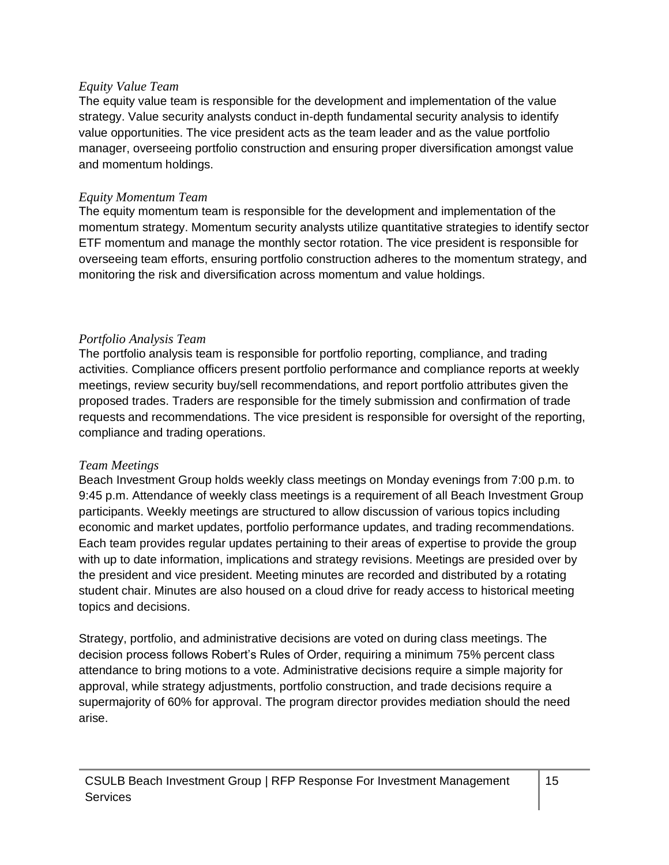#### *Equity Value Team*

The equity value team is responsible for the development and implementation of the value strategy. Value security analysts conduct in-depth fundamental security analysis to identify value opportunities. The vice president acts as the team leader and as the value portfolio manager, overseeing portfolio construction and ensuring proper diversification amongst value and momentum holdings.

#### *Equity Momentum Team*

The equity momentum team is responsible for the development and implementation of the momentum strategy. Momentum security analysts utilize quantitative strategies to identify sector ETF momentum and manage the monthly sector rotation. The vice president is responsible for overseeing team efforts, ensuring portfolio construction adheres to the momentum strategy, and monitoring the risk and diversification across momentum and value holdings.

#### *Portfolio Analysis Team*

The portfolio analysis team is responsible for portfolio reporting, compliance, and trading activities. Compliance officers present portfolio performance and compliance reports at weekly meetings, review security buy/sell recommendations, and report portfolio attributes given the proposed trades. Traders are responsible for the timely submission and confirmation of trade requests and recommendations. The vice president is responsible for oversight of the reporting, compliance and trading operations.

## *Team Meetings*

Beach Investment Group holds weekly class meetings on Monday evenings from 7:00 p.m. to 9:45 p.m. Attendance of weekly class meetings is a requirement of all Beach Investment Group participants. Weekly meetings are structured to allow discussion of various topics including economic and market updates, portfolio performance updates, and trading recommendations. Each team provides regular updates pertaining to their areas of expertise to provide the group with up to date information, implications and strategy revisions. Meetings are presided over by the president and vice president. Meeting minutes are recorded and distributed by a rotating student chair. Minutes are also housed on a cloud drive for ready access to historical meeting topics and decisions.

Strategy, portfolio, and administrative decisions are voted on during class meetings. The decision process follows Robert's Rules of Order, requiring a minimum 75% percent class attendance to bring motions to a vote. Administrative decisions require a simple majority for approval, while strategy adjustments, portfolio construction, and trade decisions require a supermajority of 60% for approval. The program director provides mediation should the need arise.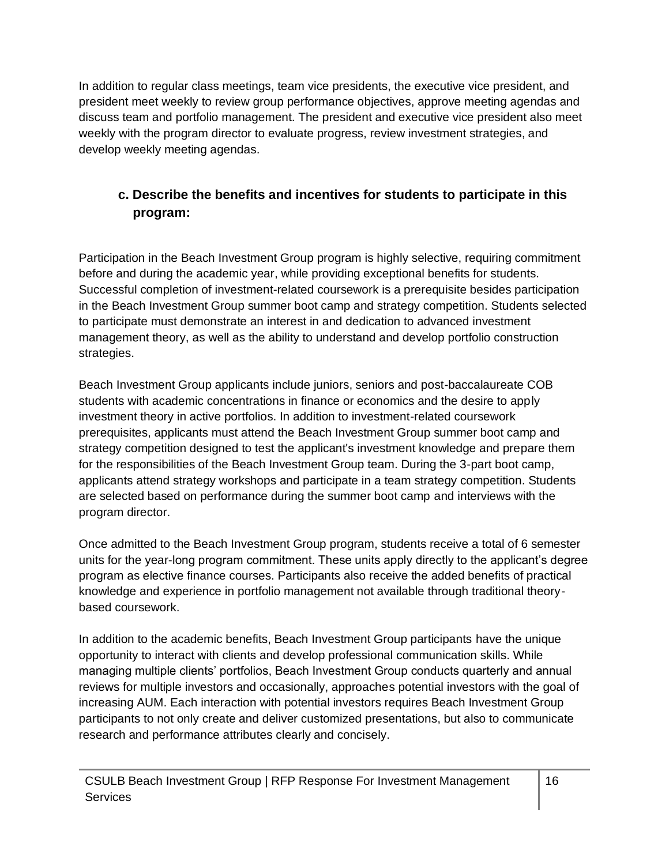In addition to regular class meetings, team vice presidents, the executive vice president, and president meet weekly to review group performance objectives, approve meeting agendas and discuss team and portfolio management. The president and executive vice president also meet weekly with the program director to evaluate progress, review investment strategies, and develop weekly meeting agendas.

## **c. Describe the benefits and incentives for students to participate in this program:**

Participation in the Beach Investment Group program is highly selective, requiring commitment before and during the academic year, while providing exceptional benefits for students. Successful completion of investment-related coursework is a prerequisite besides participation in the Beach Investment Group summer boot camp and strategy competition. Students selected to participate must demonstrate an interest in and dedication to advanced investment management theory, as well as the ability to understand and develop portfolio construction strategies.

Beach Investment Group applicants include juniors, seniors and post-baccalaureate COB students with academic concentrations in finance or economics and the desire to apply investment theory in active portfolios. In addition to investment-related coursework prerequisites, applicants must attend the Beach Investment Group summer boot camp and strategy competition designed to test the applicant's investment knowledge and prepare them for the responsibilities of the Beach Investment Group team. During the 3-part boot camp, applicants attend strategy workshops and participate in a team strategy competition. Students are selected based on performance during the summer boot camp and interviews with the program director.

Once admitted to the Beach Investment Group program, students receive a total of 6 semester units for the year-long program commitment. These units apply directly to the applicant's degree program as elective finance courses. Participants also receive the added benefits of practical knowledge and experience in portfolio management not available through traditional theorybased coursework.

In addition to the academic benefits, Beach Investment Group participants have the unique opportunity to interact with clients and develop professional communication skills. While managing multiple clients' portfolios, Beach Investment Group conducts quarterly and annual reviews for multiple investors and occasionally, approaches potential investors with the goal of increasing AUM. Each interaction with potential investors requires Beach Investment Group participants to not only create and deliver customized presentations, but also to communicate research and performance attributes clearly and concisely.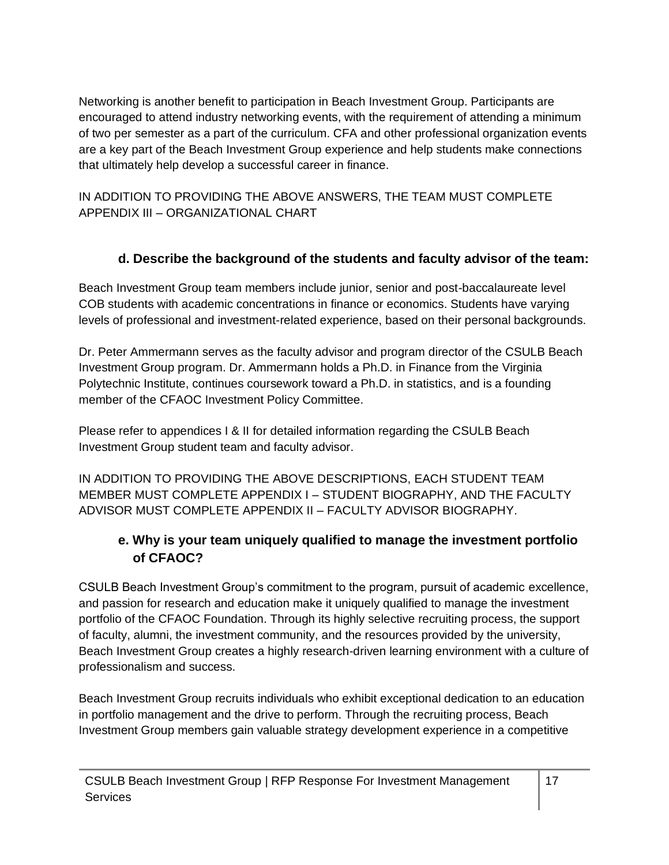Networking is another benefit to participation in Beach Investment Group. Participants are encouraged to attend industry networking events, with the requirement of attending a minimum of two per semester as a part of the curriculum. CFA and other professional organization events are a key part of the Beach Investment Group experience and help students make connections that ultimately help develop a successful career in finance.

IN ADDITION TO PROVIDING THE ABOVE ANSWERS, THE TEAM MUST COMPLETE APPENDIX III – ORGANIZATIONAL CHART

## **d. Describe the background of the students and faculty advisor of the team:**

Beach Investment Group team members include junior, senior and post-baccalaureate level COB students with academic concentrations in finance or economics. Students have varying levels of professional and investment-related experience, based on their personal backgrounds.

Dr. Peter Ammermann serves as the faculty advisor and program director of the CSULB Beach Investment Group program. Dr. Ammermann holds a Ph.D. in Finance from the Virginia Polytechnic Institute, continues coursework toward a Ph.D. in statistics, and is a founding member of the CFAOC Investment Policy Committee.

Please refer to appendices I & II for detailed information regarding the CSULB Beach Investment Group student team and faculty advisor.

IN ADDITION TO PROVIDING THE ABOVE DESCRIPTIONS, EACH STUDENT TEAM MEMBER MUST COMPLETE APPENDIX I – STUDENT BIOGRAPHY, AND THE FACULTY ADVISOR MUST COMPLETE APPENDIX II – FACULTY ADVISOR BIOGRAPHY.

## **e. Why is your team uniquely qualified to manage the investment portfolio of CFAOC?**

CSULB Beach Investment Group's commitment to the program, pursuit of academic excellence, and passion for research and education make it uniquely qualified to manage the investment portfolio of the CFAOC Foundation. Through its highly selective recruiting process, the support of faculty, alumni, the investment community, and the resources provided by the university, Beach Investment Group creates a highly research-driven learning environment with a culture of professionalism and success.

Beach Investment Group recruits individuals who exhibit exceptional dedication to an education in portfolio management and the drive to perform. Through the recruiting process, Beach Investment Group members gain valuable strategy development experience in a competitive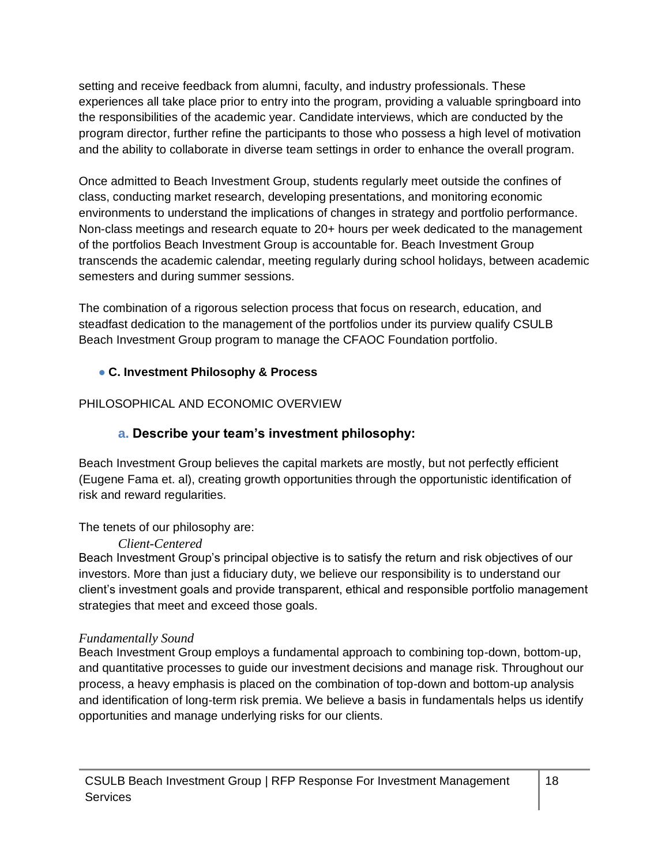setting and receive feedback from alumni, faculty, and industry professionals. These experiences all take place prior to entry into the program, providing a valuable springboard into the responsibilities of the academic year. Candidate interviews, which are conducted by the program director, further refine the participants to those who possess a high level of motivation and the ability to collaborate in diverse team settings in order to enhance the overall program.

Once admitted to Beach Investment Group, students regularly meet outside the confines of class, conducting market research, developing presentations, and monitoring economic environments to understand the implications of changes in strategy and portfolio performance. Non-class meetings and research equate to 20+ hours per week dedicated to the management of the portfolios Beach Investment Group is accountable for. Beach Investment Group transcends the academic calendar, meeting regularly during school holidays, between academic semesters and during summer sessions.

The combination of a rigorous selection process that focus on research, education, and steadfast dedication to the management of the portfolios under its purview qualify CSULB Beach Investment Group program to manage the CFAOC Foundation portfolio.

## ● **C. Investment Philosophy & Process**

## PHILOSOPHICAL AND ECONOMIC OVERVIEW

## **a. Describe your team's investment philosophy:**

Beach Investment Group believes the capital markets are mostly, but not perfectly efficient (Eugene Fama et. al), creating growth opportunities through the opportunistic identification of risk and reward regularities.

The tenets of our philosophy are:

#### *Client-Centered*

Beach Investment Group's principal objective is to satisfy the return and risk objectives of our investors. More than just a fiduciary duty, we believe our responsibility is to understand our client's investment goals and provide transparent, ethical and responsible portfolio management strategies that meet and exceed those goals.

#### *Fundamentally Sound*

Beach Investment Group employs a fundamental approach to combining top-down, bottom-up, and quantitative processes to guide our investment decisions and manage risk. Throughout our process, a heavy emphasis is placed on the combination of top-down and bottom-up analysis and identification of long-term risk premia. We believe a basis in fundamentals helps us identify opportunities and manage underlying risks for our clients.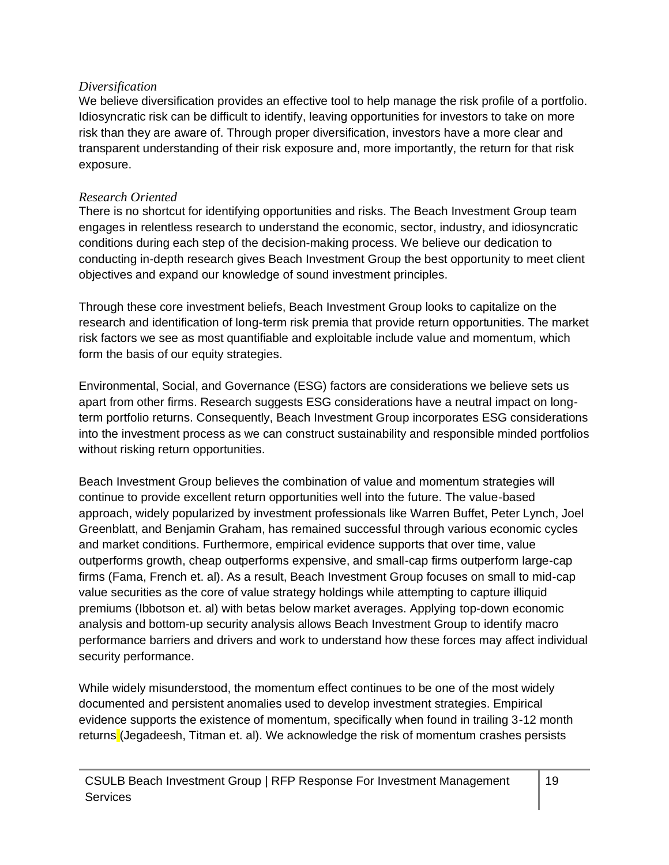#### *Diversification*

We believe diversification provides an effective tool to help manage the risk profile of a portfolio. Idiosyncratic risk can be difficult to identify, leaving opportunities for investors to take on more risk than they are aware of. Through proper diversification, investors have a more clear and transparent understanding of their risk exposure and, more importantly, the return for that risk exposure.

#### *Research Oriented*

There is no shortcut for identifying opportunities and risks. The Beach Investment Group team engages in relentless research to understand the economic, sector, industry, and idiosyncratic conditions during each step of the decision-making process. We believe our dedication to conducting in-depth research gives Beach Investment Group the best opportunity to meet client objectives and expand our knowledge of sound investment principles.

Through these core investment beliefs, Beach Investment Group looks to capitalize on the research and identification of long-term risk premia that provide return opportunities. The market risk factors we see as most quantifiable and exploitable include value and momentum, which form the basis of our equity strategies.

Environmental, Social, and Governance (ESG) factors are considerations we believe sets us apart from other firms. Research suggests ESG considerations have a neutral impact on longterm portfolio returns. Consequently, Beach Investment Group incorporates ESG considerations into the investment process as we can construct sustainability and responsible minded portfolios without risking return opportunities.

Beach Investment Group believes the combination of value and momentum strategies will continue to provide excellent return opportunities well into the future. The value-based approach, widely popularized by investment professionals like Warren Buffet, Peter Lynch, Joel Greenblatt, and Benjamin Graham, has remained successful through various economic cycles and market conditions. Furthermore, empirical evidence supports that over time, value outperforms growth, cheap outperforms expensive, and small-cap firms outperform large-cap firms (Fama, French et. al). As a result, Beach Investment Group focuses on small to mid-cap value securities as the core of value strategy holdings while attempting to capture illiquid premiums (Ibbotson et. al) with betas below market averages. Applying top-down economic analysis and bottom-up security analysis allows Beach Investment Group to identify macro performance barriers and drivers and work to understand how these forces may affect individual security performance.

While widely misunderstood, the momentum effect continues to be one of the most widely documented and persistent anomalies used to develop investment strategies. Empirical evidence supports the existence of momentum, specifically when found in trailing 3-12 month returns (Jegadeesh, Titman et. al). We acknowledge the risk of momentum crashes persists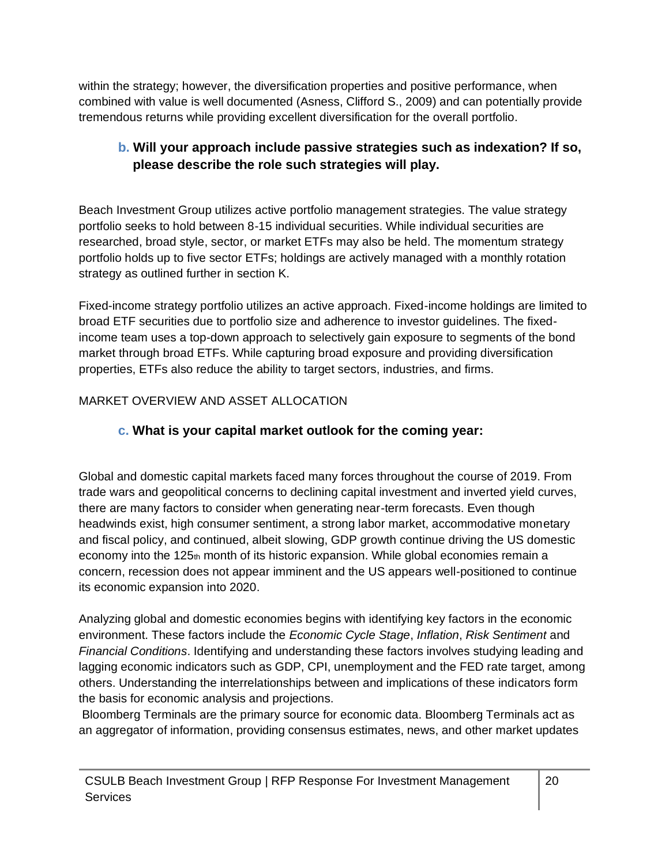within the strategy; however, the diversification properties and positive performance, when combined with value is well documented (Asness, Clifford S., 2009) and can potentially provide tremendous returns while providing excellent diversification for the overall portfolio.

## **b. Will your approach include passive strategies such as indexation? If so, please describe the role such strategies will play.**

Beach Investment Group utilizes active portfolio management strategies. The value strategy portfolio seeks to hold between 8-15 individual securities. While individual securities are researched, broad style, sector, or market ETFs may also be held. The momentum strategy portfolio holds up to five sector ETFs; holdings are actively managed with a monthly rotation strategy as outlined further in section K.

Fixed-income strategy portfolio utilizes an active approach. Fixed-income holdings are limited to broad ETF securities due to portfolio size and adherence to investor guidelines. The fixedincome team uses a top-down approach to selectively gain exposure to segments of the bond market through broad ETFs. While capturing broad exposure and providing diversification properties, ETFs also reduce the ability to target sectors, industries, and firms.

## MARKET OVERVIEW AND ASSET ALLOCATION

## **c. What is your capital market outlook for the coming year:**

Global and domestic capital markets faced many forces throughout the course of 2019. From trade wars and geopolitical concerns to declining capital investment and inverted yield curves, there are many factors to consider when generating near-term forecasts. Even though headwinds exist, high consumer sentiment, a strong labor market, accommodative monetary and fiscal policy, and continued, albeit slowing, GDP growth continue driving the US domestic economy into the 125th month of its historic expansion. While global economies remain a concern, recession does not appear imminent and the US appears well-positioned to continue its economic expansion into 2020.

Analyzing global and domestic economies begins with identifying key factors in the economic environment. These factors include the *Economic Cycle Stage*, *Inflation*, *Risk Sentiment* and *Financial Conditions*. Identifying and understanding these factors involves studying leading and lagging economic indicators such as GDP, CPI, unemployment and the FED rate target, among others. Understanding the interrelationships between and implications of these indicators form the basis for economic analysis and projections.

Bloomberg Terminals are the primary source for economic data. Bloomberg Terminals act as an aggregator of information, providing consensus estimates, news, and other market updates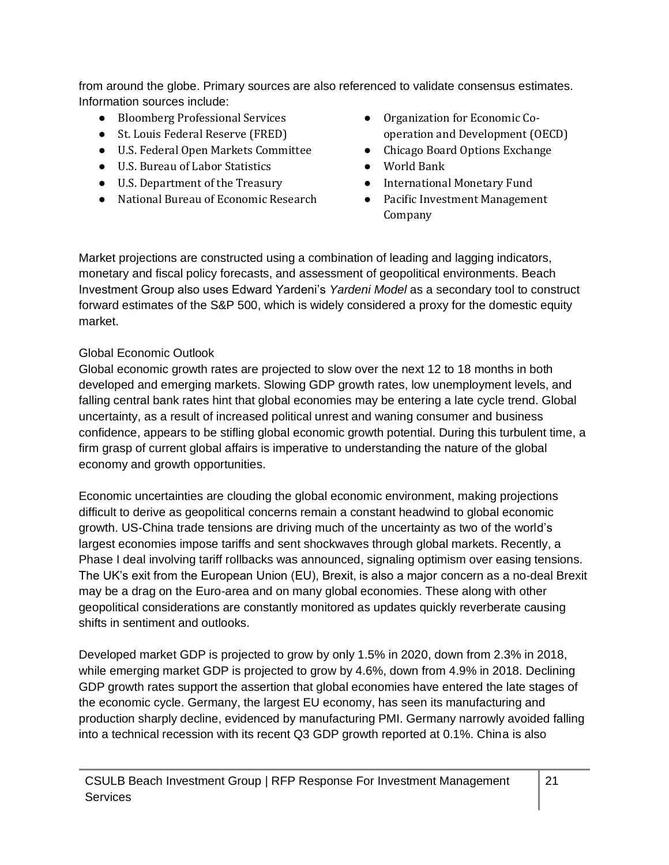from around the globe. Primary sources are also referenced to validate consensus estimates. Information sources include:

- Bloomberg Professional Services
- St. Louis Federal Reserve (FRED)
- U.S. Federal Open Markets Committee
- U.S. Bureau of Labor Statistics
- U.S. Department of the Treasury
- National Bureau of Economic Research
- Organization for Economic Cooperation and Development (OECD)
- Chicago Board Options Exchange
- World Bank
- International Monetary Fund
- Pacific Investment Management Company

Market projections are constructed using a combination of leading and lagging indicators, monetary and fiscal policy forecasts, and assessment of geopolitical environments. Beach Investment Group also uses Edward Yardeni's *Yardeni Model* as a secondary tool to construct forward estimates of the S&P 500, which is widely considered a proxy for the domestic equity market.

#### Global Economic Outlook

Global economic growth rates are projected to slow over the next 12 to 18 months in both developed and emerging markets. Slowing GDP growth rates, low unemployment levels, and falling central bank rates hint that global economies may be entering a late cycle trend. Global uncertainty, as a result of increased political unrest and waning consumer and business confidence, appears to be stifling global economic growth potential. During this turbulent time, a firm grasp of current global affairs is imperative to understanding the nature of the global economy and growth opportunities.

Economic uncertainties are clouding the global economic environment, making projections difficult to derive as geopolitical concerns remain a constant headwind to global economic growth. US-China trade tensions are driving much of the uncertainty as two of the world's largest economies impose tariffs and sent shockwaves through global markets. Recently, a Phase I deal involving tariff rollbacks was announced, signaling optimism over easing tensions. The UK's exit from the European Union (EU), Brexit, is also a major concern as a no-deal Brexit may be a drag on the Euro-area and on many global economies. These along with other geopolitical considerations are constantly monitored as updates quickly reverberate causing shifts in sentiment and outlooks.

Developed market GDP is projected to grow by only 1.5% in 2020, down from 2.3% in 2018, while emerging market GDP is projected to grow by 4.6%, down from 4.9% in 2018. Declining GDP growth rates support the assertion that global economies have entered the late stages of the economic cycle. Germany, the largest EU economy, has seen its manufacturing and production sharply decline, evidenced by manufacturing PMI. Germany narrowly avoided falling into a technical recession with its recent Q3 GDP growth reported at 0.1%. China is also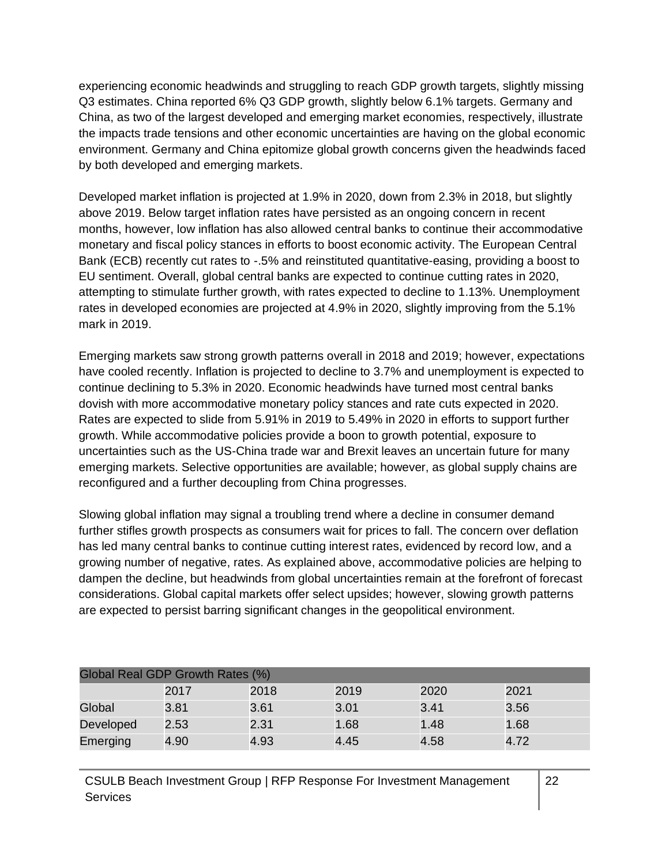experiencing economic headwinds and struggling to reach GDP growth targets, slightly missing Q3 estimates. China reported 6% Q3 GDP growth, slightly below 6.1% targets. Germany and China, as two of the largest developed and emerging market economies, respectively, illustrate the impacts trade tensions and other economic uncertainties are having on the global economic environment. Germany and China epitomize global growth concerns given the headwinds faced by both developed and emerging markets.

Developed market inflation is projected at 1.9% in 2020, down from 2.3% in 2018, but slightly above 2019. Below target inflation rates have persisted as an ongoing concern in recent months, however, low inflation has also allowed central banks to continue their accommodative monetary and fiscal policy stances in efforts to boost economic activity. The European Central Bank (ECB) recently cut rates to -.5% and reinstituted quantitative-easing, providing a boost to EU sentiment. Overall, global central banks are expected to continue cutting rates in 2020, attempting to stimulate further growth, with rates expected to decline to 1.13%. Unemployment rates in developed economies are projected at 4.9% in 2020, slightly improving from the 5.1% mark in 2019.

Emerging markets saw strong growth patterns overall in 2018 and 2019; however, expectations have cooled recently. Inflation is projected to decline to 3.7% and unemployment is expected to continue declining to 5.3% in 2020. Economic headwinds have turned most central banks dovish with more accommodative monetary policy stances and rate cuts expected in 2020. Rates are expected to slide from 5.91% in 2019 to 5.49% in 2020 in efforts to support further growth. While accommodative policies provide a boon to growth potential, exposure to uncertainties such as the US-China trade war and Brexit leaves an uncertain future for many emerging markets. Selective opportunities are available; however, as global supply chains are reconfigured and a further decoupling from China progresses.

Slowing global inflation may signal a troubling trend where a decline in consumer demand further stifles growth prospects as consumers wait for prices to fall. The concern over deflation has led many central banks to continue cutting interest rates, evidenced by record low, and a growing number of negative, rates. As explained above, accommodative policies are helping to dampen the decline, but headwinds from global uncertainties remain at the forefront of forecast considerations. Global capital markets offer select upsides; however, slowing growth patterns are expected to persist barring significant changes in the geopolitical environment.

| Global Real GDP Growth Rates (%) |      |      |      |      |      |  |
|----------------------------------|------|------|------|------|------|--|
|                                  | 2017 | 2018 | 2019 | 2020 | 2021 |  |
| Global                           | 3.81 | 3.61 | 3.01 | 3.41 | 3.56 |  |
| Developed                        | 2.53 | 2.31 | 1.68 | 1.48 | 1.68 |  |
| Emerging                         | 4.90 | 4.93 | 4.45 | 4.58 | 4.72 |  |

CSULB Beach Investment Group | RFP Response For Investment Management **Services**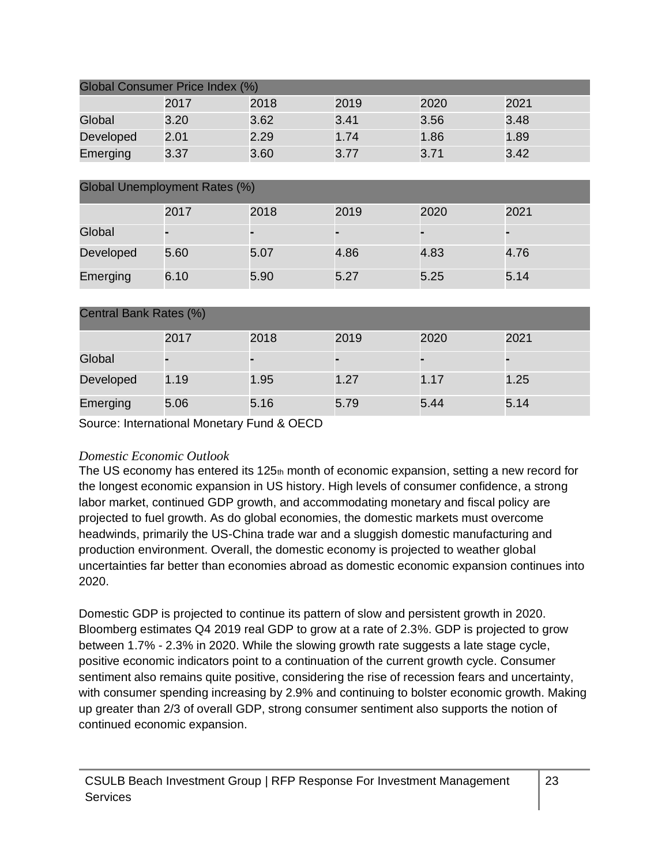| Global Consumer Price Index (%) |      |      |      |      |      |
|---------------------------------|------|------|------|------|------|
|                                 | 2017 | 2018 | 2019 | 2020 | 2021 |
| Global                          | 3.20 | 3.62 | 3.41 | 3.56 | 3.48 |
| Developed                       | 2.01 | 2.29 | 1.74 | 1.86 | 1.89 |
| Emerging                        | 3.37 | 3.60 | 3.77 | 3.71 | 3.42 |

#### Global Unemployment Rates (%)

|           | 2017 | 2018 | 2019 | 2020 | 2021 |
|-----------|------|------|------|------|------|
| Global    |      |      |      |      |      |
| Developed | 5.60 | 5.07 | 4.86 | 4.83 | 4.76 |
| Emerging  | 6.10 | 5.90 | 5.27 | 5.25 | 5.14 |

#### Central Rank Rates (%)

|           | ________ |      |      |      |      |
|-----------|----------|------|------|------|------|
|           | 2017     | 2018 | 2019 | 2020 | 2021 |
| Global    |          |      |      |      |      |
| Developed | 1.19     | 1.95 | 1.27 | 1.17 | 1.25 |
| Emerging  | 5.06     | 5.16 | 5.79 | 5.44 | 5.14 |

Source: International Monetary Fund & OECD

#### *Domestic Economic Outlook*

The US economy has entered its  $125<sub>th</sub>$  month of economic expansion, setting a new record for the longest economic expansion in US history. High levels of consumer confidence, a strong labor market, continued GDP growth, and accommodating monetary and fiscal policy are projected to fuel growth. As do global economies, the domestic markets must overcome headwinds, primarily the US-China trade war and a sluggish domestic manufacturing and production environment. Overall, the domestic economy is projected to weather global uncertainties far better than economies abroad as domestic economic expansion continues into 2020.

Domestic GDP is projected to continue its pattern of slow and persistent growth in 2020. Bloomberg estimates Q4 2019 real GDP to grow at a rate of 2.3%. GDP is projected to grow between 1.7% - 2.3% in 2020. While the slowing growth rate suggests a late stage cycle, positive economic indicators point to a continuation of the current growth cycle. Consumer sentiment also remains quite positive, considering the rise of recession fears and uncertainty, with consumer spending increasing by 2.9% and continuing to bolster economic growth. Making up greater than 2/3 of overall GDP, strong consumer sentiment also supports the notion of continued economic expansion.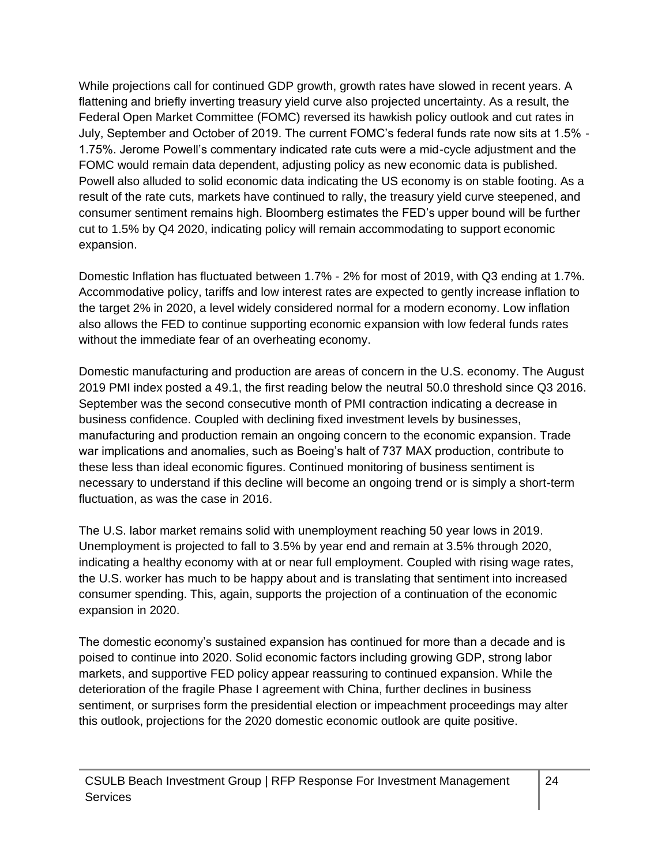While projections call for continued GDP growth, growth rates have slowed in recent years. A flattening and briefly inverting treasury yield curve also projected uncertainty. As a result, the Federal Open Market Committee (FOMC) reversed its hawkish policy outlook and cut rates in July, September and October of 2019. The current FOMC's federal funds rate now sits at 1.5% - 1.75%. Jerome Powell's commentary indicated rate cuts were a mid-cycle adjustment and the FOMC would remain data dependent, adjusting policy as new economic data is published. Powell also alluded to solid economic data indicating the US economy is on stable footing. As a result of the rate cuts, markets have continued to rally, the treasury yield curve steepened, and consumer sentiment remains high. Bloomberg estimates the FED's upper bound will be further cut to 1.5% by Q4 2020, indicating policy will remain accommodating to support economic expansion.

Domestic Inflation has fluctuated between 1.7% - 2% for most of 2019, with Q3 ending at 1.7%. Accommodative policy, tariffs and low interest rates are expected to gently increase inflation to the target 2% in 2020, a level widely considered normal for a modern economy. Low inflation also allows the FED to continue supporting economic expansion with low federal funds rates without the immediate fear of an overheating economy.

Domestic manufacturing and production are areas of concern in the U.S. economy. The August 2019 PMI index posted a 49.1, the first reading below the neutral 50.0 threshold since Q3 2016. September was the second consecutive month of PMI contraction indicating a decrease in business confidence. Coupled with declining fixed investment levels by businesses, manufacturing and production remain an ongoing concern to the economic expansion. Trade war implications and anomalies, such as Boeing's halt of 737 MAX production, contribute to these less than ideal economic figures. Continued monitoring of business sentiment is necessary to understand if this decline will become an ongoing trend or is simply a short-term fluctuation, as was the case in 2016.

The U.S. labor market remains solid with unemployment reaching 50 year lows in 2019. Unemployment is projected to fall to 3.5% by year end and remain at 3.5% through 2020, indicating a healthy economy with at or near full employment. Coupled with rising wage rates, the U.S. worker has much to be happy about and is translating that sentiment into increased consumer spending. This, again, supports the projection of a continuation of the economic expansion in 2020.

The domestic economy's sustained expansion has continued for more than a decade and is poised to continue into 2020. Solid economic factors including growing GDP, strong labor markets, and supportive FED policy appear reassuring to continued expansion. While the deterioration of the fragile Phase I agreement with China, further declines in business sentiment, or surprises form the presidential election or impeachment proceedings may alter this outlook, projections for the 2020 domestic economic outlook are quite positive.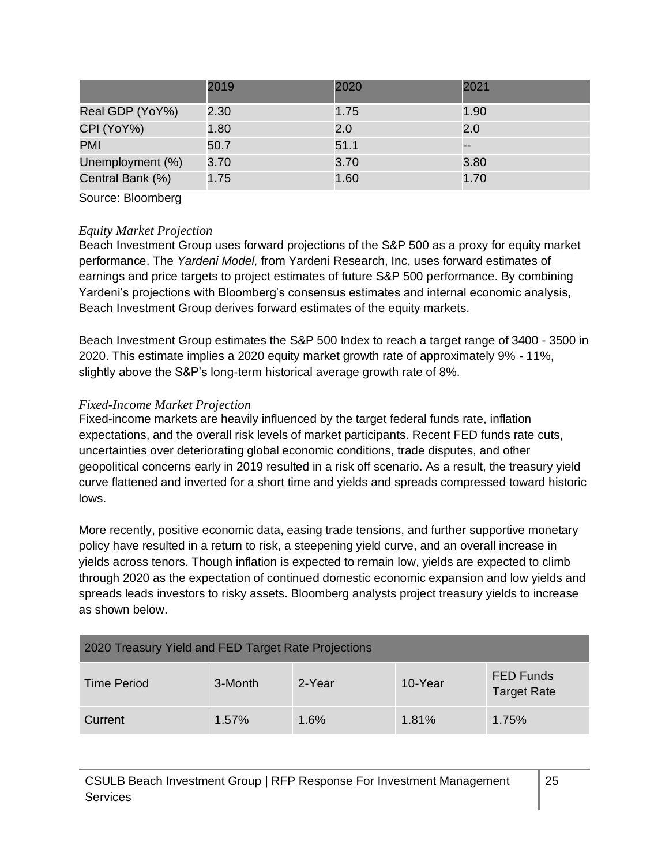|                  | 2019 | 2020 | 2021 |
|------------------|------|------|------|
| Real GDP (YoY%)  | 2.30 | 1.75 | 1.90 |
| CPI (YoY%)       | 1.80 | 2.0  | 2.0  |
| <b>PMI</b>       | 50.7 | 51.1 | --   |
| Unemployment (%) | 3.70 | 3.70 | 3.80 |
| Central Bank (%) | 1.75 | 1.60 | 1.70 |

Source: Bloomberg

#### *Equity Market Projection*

Beach Investment Group uses forward projections of the S&P 500 as a proxy for equity market performance. The *Yardeni Model,* from Yardeni Research, Inc, uses forward estimates of earnings and price targets to project estimates of future S&P 500 performance. By combining Yardeni's projections with Bloomberg's consensus estimates and internal economic analysis, Beach Investment Group derives forward estimates of the equity markets.

Beach Investment Group estimates the S&P 500 Index to reach a target range of 3400 - 3500 in 2020. This estimate implies a 2020 equity market growth rate of approximately 9% - 11%, slightly above the S&P's long-term historical average growth rate of 8%.

#### *Fixed-Income Market Projection*

Fixed-income markets are heavily influenced by the target federal funds rate, inflation expectations, and the overall risk levels of market participants. Recent FED funds rate cuts, uncertainties over deteriorating global economic conditions, trade disputes, and other geopolitical concerns early in 2019 resulted in a risk off scenario. As a result, the treasury yield curve flattened and inverted for a short time and yields and spreads compressed toward historic lows.

More recently, positive economic data, easing trade tensions, and further supportive monetary policy have resulted in a return to risk, a steepening yield curve, and an overall increase in yields across tenors. Though inflation is expected to remain low, yields are expected to climb through 2020 as the expectation of continued domestic economic expansion and low yields and spreads leads investors to risky assets. Bloomberg analysts project treasury yields to increase as shown below.

| 2020 Treasury Yield and FED Target Rate Projections |         |        |         |                                        |  |
|-----------------------------------------------------|---------|--------|---------|----------------------------------------|--|
| <b>Time Period</b>                                  | 3-Month | 2-Year | 10-Year | <b>FED Funds</b><br><b>Target Rate</b> |  |
| Current                                             | 1.57%   | 1.6%   | 1.81%   | 1.75%                                  |  |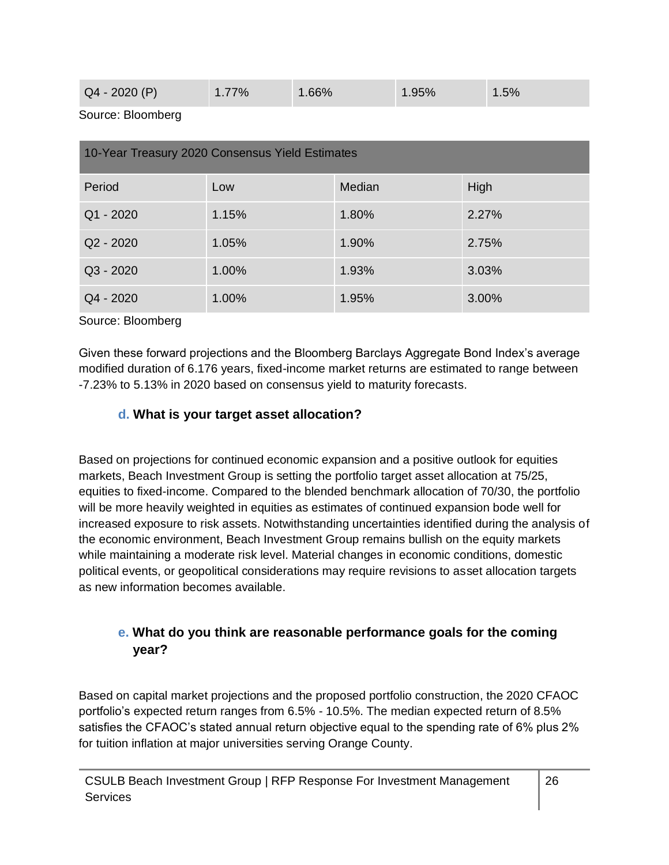| $Q4 - 2020(P)$ | $1.77\%$ | 1.66% | $1.95\%$ | 1.5% |
|----------------|----------|-------|----------|------|
|----------------|----------|-------|----------|------|

Source: Bloomberg

| 10-Year Treasury 2020 Consensus Yield Estimates |       |        |       |  |  |
|-------------------------------------------------|-------|--------|-------|--|--|
| Period                                          | Low   | Median | High  |  |  |
| Q1 - 2020                                       | 1.15% | 1.80%  | 2.27% |  |  |
| $Q2 - 2020$                                     | 1.05% | 1.90%  | 2.75% |  |  |
| $Q3 - 2020$                                     | 1.00% | 1.93%  | 3.03% |  |  |
| Q4 - 2020                                       | 1.00% | 1.95%  | 3.00% |  |  |

Source: Bloomberg

Given these forward projections and the Bloomberg Barclays Aggregate Bond Index's average modified duration of 6.176 years, fixed-income market returns are estimated to range between -7.23% to 5.13% in 2020 based on consensus yield to maturity forecasts.

#### **d. What is your target asset allocation?**

Based on projections for continued economic expansion and a positive outlook for equities markets, Beach Investment Group is setting the portfolio target asset allocation at 75/25, equities to fixed-income. Compared to the blended benchmark allocation of 70/30, the portfolio will be more heavily weighted in equities as estimates of continued expansion bode well for increased exposure to risk assets. Notwithstanding uncertainties identified during the analysis of the economic environment, Beach Investment Group remains bullish on the equity markets while maintaining a moderate risk level. Material changes in economic conditions, domestic political events, or geopolitical considerations may require revisions to asset allocation targets as new information becomes available.

## **e. What do you think are reasonable performance goals for the coming year?**

Based on capital market projections and the proposed portfolio construction, the 2020 CFAOC portfolio's expected return ranges from 6.5% - 10.5%. The median expected return of 8.5% satisfies the CFAOC's stated annual return objective equal to the spending rate of 6% plus 2% for tuition inflation at major universities serving Orange County.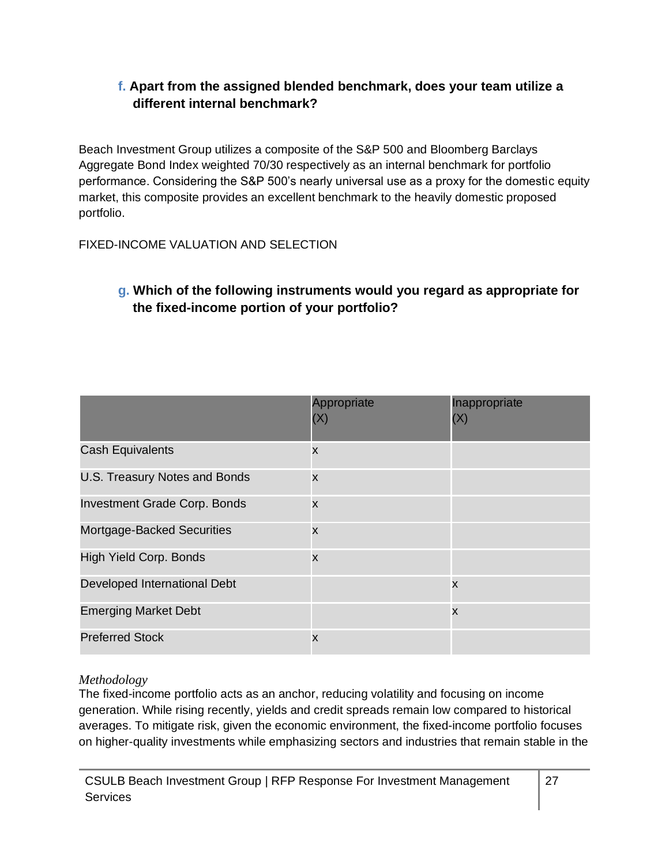## **f. Apart from the assigned blended benchmark, does your team utilize a different internal benchmark?**

Beach Investment Group utilizes a composite of the S&P 500 and Bloomberg Barclays Aggregate Bond Index weighted 70/30 respectively as an internal benchmark for portfolio performance. Considering the S&P 500's nearly universal use as a proxy for the domestic equity market, this composite provides an excellent benchmark to the heavily domestic proposed portfolio.

FIXED-INCOME VALUATION AND SELECTION

## **g. Which of the following instruments would you regard as appropriate for the fixed-income portion of your portfolio?**

|                                     | <b>Appropriate</b><br>(X) | Inappropriate<br>$({\sf X})$ |
|-------------------------------------|---------------------------|------------------------------|
| <b>Cash Equivalents</b>             | X                         |                              |
| U.S. Treasury Notes and Bonds       | X                         |                              |
| <b>Investment Grade Corp. Bonds</b> | X                         |                              |
| Mortgage-Backed Securities          | X                         |                              |
| <b>High Yield Corp. Bonds</b>       | X                         |                              |
| Developed International Debt        |                           | X                            |
| <b>Emerging Market Debt</b>         |                           | X                            |
| <b>Preferred Stock</b>              | X                         |                              |

## *Methodology*

The fixed-income portfolio acts as an anchor, reducing volatility and focusing on income generation. While rising recently, yields and credit spreads remain low compared to historical averages. To mitigate risk, given the economic environment, the fixed-income portfolio focuses on higher-quality investments while emphasizing sectors and industries that remain stable in the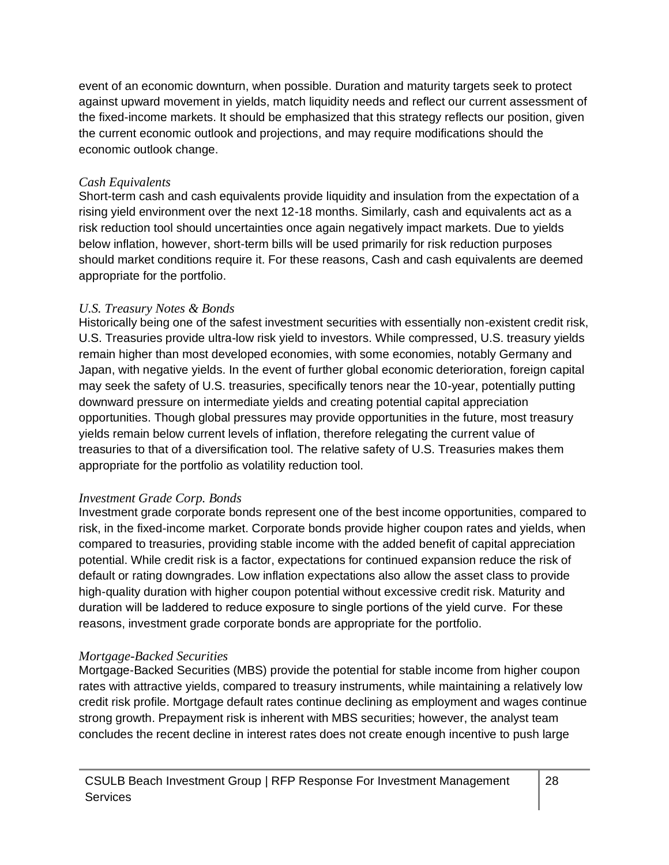event of an economic downturn, when possible. Duration and maturity targets seek to protect against upward movement in yields, match liquidity needs and reflect our current assessment of the fixed-income markets. It should be emphasized that this strategy reflects our position, given the current economic outlook and projections, and may require modifications should the economic outlook change.

#### *Cash Equivalents*

Short-term cash and cash equivalents provide liquidity and insulation from the expectation of a rising yield environment over the next 12-18 months. Similarly, cash and equivalents act as a risk reduction tool should uncertainties once again negatively impact markets. Due to yields below inflation, however, short-term bills will be used primarily for risk reduction purposes should market conditions require it. For these reasons, Cash and cash equivalents are deemed appropriate for the portfolio.

#### *U.S. Treasury Notes & Bonds*

Historically being one of the safest investment securities with essentially non-existent credit risk, U.S. Treasuries provide ultra-low risk yield to investors. While compressed, U.S. treasury yields remain higher than most developed economies, with some economies, notably Germany and Japan, with negative yields. In the event of further global economic deterioration, foreign capital may seek the safety of U.S. treasuries, specifically tenors near the 10-year, potentially putting downward pressure on intermediate yields and creating potential capital appreciation opportunities. Though global pressures may provide opportunities in the future, most treasury yields remain below current levels of inflation, therefore relegating the current value of treasuries to that of a diversification tool. The relative safety of U.S. Treasuries makes them appropriate for the portfolio as volatility reduction tool.

#### *Investment Grade Corp. Bonds*

Investment grade corporate bonds represent one of the best income opportunities, compared to risk, in the fixed-income market. Corporate bonds provide higher coupon rates and yields, when compared to treasuries, providing stable income with the added benefit of capital appreciation potential. While credit risk is a factor, expectations for continued expansion reduce the risk of default or rating downgrades. Low inflation expectations also allow the asset class to provide high-quality duration with higher coupon potential without excessive credit risk. Maturity and duration will be laddered to reduce exposure to single portions of the yield curve.  For these reasons, investment grade corporate bonds are appropriate for the portfolio.

## *Mortgage-Backed Securities*

Mortgage-Backed Securities (MBS) provide the potential for stable income from higher coupon rates with attractive yields, compared to treasury instruments, while maintaining a relatively low credit risk profile. Mortgage default rates continue declining as employment and wages continue strong growth. Prepayment risk is inherent with MBS securities; however, the analyst team concludes the recent decline in interest rates does not create enough incentive to push large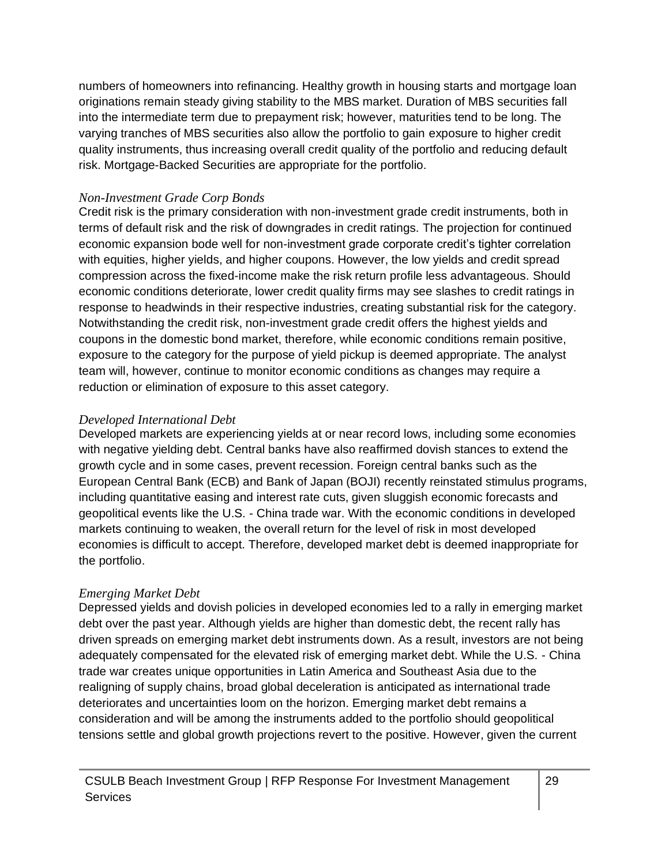numbers of homeowners into refinancing. Healthy growth in housing starts and mortgage loan originations remain steady giving stability to the MBS market. Duration of MBS securities fall into the intermediate term due to prepayment risk; however, maturities tend to be long. The varying tranches of MBS securities also allow the portfolio to gain exposure to higher credit quality instruments, thus increasing overall credit quality of the portfolio and reducing default risk. Mortgage-Backed Securities are appropriate for the portfolio.

#### *Non-Investment Grade Corp Bonds*

Credit risk is the primary consideration with non-investment grade credit instruments, both in terms of default risk and the risk of downgrades in credit ratings. The projection for continued economic expansion bode well for non-investment grade corporate credit's tighter correlation with equities, higher yields, and higher coupons. However, the low yields and credit spread compression across the fixed-income make the risk return profile less advantageous. Should economic conditions deteriorate, lower credit quality firms may see slashes to credit ratings in response to headwinds in their respective industries, creating substantial risk for the category. Notwithstanding the credit risk, non-investment grade credit offers the highest yields and coupons in the domestic bond market, therefore, while economic conditions remain positive, exposure to the category for the purpose of yield pickup is deemed appropriate. The analyst team will, however, continue to monitor economic conditions as changes may require a reduction or elimination of exposure to this asset category.

#### *Developed International Debt*

Developed markets are experiencing yields at or near record lows, including some economies with negative yielding debt. Central banks have also reaffirmed dovish stances to extend the growth cycle and in some cases, prevent recession. Foreign central banks such as the European Central Bank (ECB) and Bank of Japan (BOJI) recently reinstated stimulus programs, including quantitative easing and interest rate cuts, given sluggish economic forecasts and geopolitical events like the U.S. - China trade war. With the economic conditions in developed markets continuing to weaken, the overall return for the level of risk in most developed economies is difficult to accept. Therefore, developed market debt is deemed inappropriate for the portfolio.

## *Emerging Market Debt*

Depressed yields and dovish policies in developed economies led to a rally in emerging market debt over the past year. Although yields are higher than domestic debt, the recent rally has driven spreads on emerging market debt instruments down. As a result, investors are not being adequately compensated for the elevated risk of emerging market debt. While the U.S. - China trade war creates unique opportunities in Latin America and Southeast Asia due to the realigning of supply chains, broad global deceleration is anticipated as international trade deteriorates and uncertainties loom on the horizon. Emerging market debt remains a consideration and will be among the instruments added to the portfolio should geopolitical tensions settle and global growth projections revert to the positive. However, given the current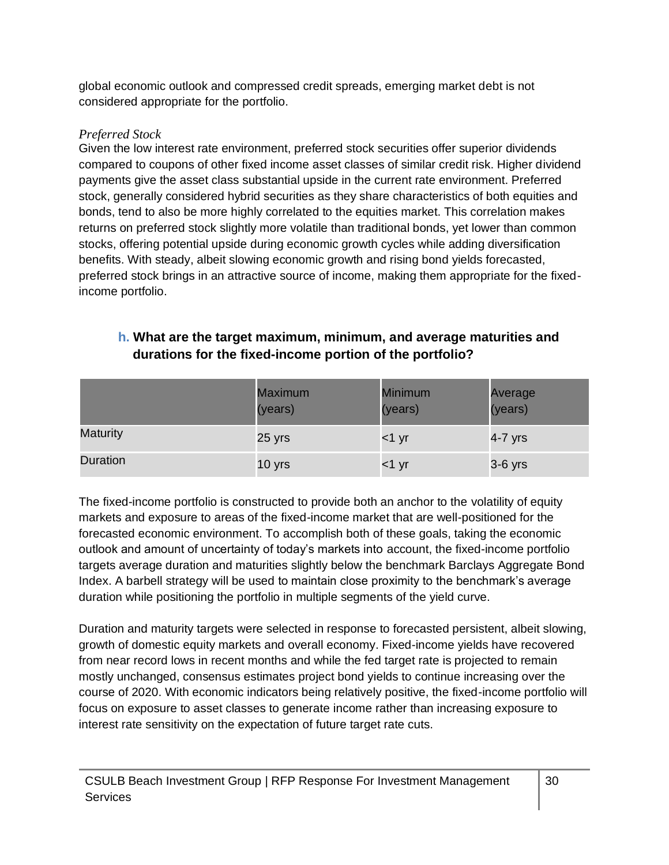global economic outlook and compressed credit spreads, emerging market debt is not considered appropriate for the portfolio.

## *Preferred Stock*

Given the low interest rate environment, preferred stock securities offer superior dividends compared to coupons of other fixed income asset classes of similar credit risk. Higher dividend payments give the asset class substantial upside in the current rate environment. Preferred stock, generally considered hybrid securities as they share characteristics of both equities and bonds, tend to also be more highly correlated to the equities market. This correlation makes returns on preferred stock slightly more volatile than traditional bonds, yet lower than common stocks, offering potential upside during economic growth cycles while adding diversification benefits. With steady, albeit slowing economic growth and rising bond yields forecasted, preferred stock brings in an attractive source of income, making them appropriate for the fixedincome portfolio.

## **h. What are the target maximum, minimum, and average maturities and durations for the fixed-income portion of the portfolio?**

|                 | <b>Maximum</b><br>(years) | <b>Minimum</b><br>(years) | Average<br>(years) |
|-----------------|---------------------------|---------------------------|--------------------|
| <b>Maturity</b> | 25 yrs                    | <1 yr                     | $4-7$ yrs          |
| Duration        | 10 yrs                    | <1 yr                     | $3-6$ yrs          |

The fixed-income portfolio is constructed to provide both an anchor to the volatility of equity markets and exposure to areas of the fixed-income market that are well-positioned for the forecasted economic environment. To accomplish both of these goals, taking the economic outlook and amount of uncertainty of today's markets into account, the fixed-income portfolio targets average duration and maturities slightly below the benchmark Barclays Aggregate Bond Index. A barbell strategy will be used to maintain close proximity to the benchmark's average duration while positioning the portfolio in multiple segments of the yield curve.

Duration and maturity targets were selected in response to forecasted persistent, albeit slowing, growth of domestic equity markets and overall economy. Fixed-income yields have recovered from near record lows in recent months and while the fed target rate is projected to remain mostly unchanged, consensus estimates project bond yields to continue increasing over the course of 2020. With economic indicators being relatively positive, the fixed-income portfolio will focus on exposure to asset classes to generate income rather than increasing exposure to interest rate sensitivity on the expectation of future target rate cuts.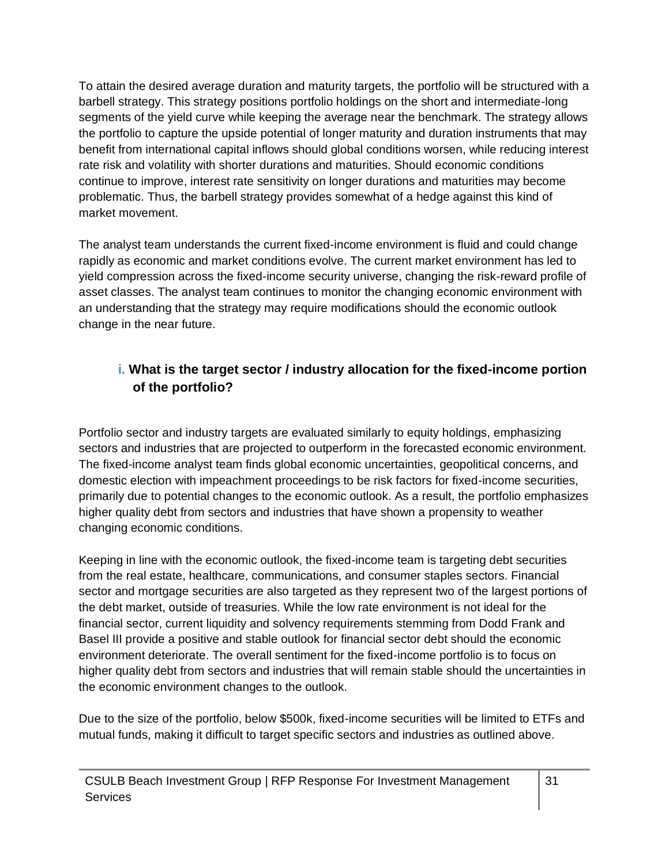To attain the desired average duration and maturity targets, the portfolio will be structured with a barbell strategy. This strategy positions portfolio holdings on the short and intermediate-long segments of the yield curve while keeping the average near the benchmark. The strategy allows the portfolio to capture the upside potential of longer maturity and duration instruments that may benefit from international capital inflows should global conditions worsen, while reducing interest rate risk and volatility with shorter durations and maturities. Should economic conditions continue to improve, interest rate sensitivity on longer durations and maturities may become problematic. Thus, the barbell strategy provides somewhat of a hedge against this kind of market movement.

The analyst team understands the current fixed-income environment is fluid and could change rapidly as economic and market conditions evolve. The current market environment has led to yield compression across the fixed-income security universe, changing the risk-reward profile of asset classes. The analyst team continues to monitor the changing economic environment with an understanding that the strategy may require modifications should the economic outlook change in the near future.

## **i. What is the target sector / industry allocation for the fixed-income portion of the portfolio?**

Portfolio sector and industry targets are evaluated similarly to equity holdings, emphasizing sectors and industries that are projected to outperform in the forecasted economic environment. The fixed-income analyst team finds global economic uncertainties, geopolitical concerns, and domestic election with impeachment proceedings to be risk factors for fixed-income securities, primarily due to potential changes to the economic outlook. As a result, the portfolio emphasizes higher quality debt from sectors and industries that have shown a propensity to weather changing economic conditions.

Keeping in line with the economic outlook, the fixed-income team is targeting debt securities from the real estate, healthcare, communications, and consumer staples sectors. Financial sector and mortgage securities are also targeted as they represent two of the largest portions of the debt market, outside of treasuries. While the low rate environment is not ideal for the financial sector, current liquidity and solvency requirements stemming from Dodd Frank and Basel III provide a positive and stable outlook for financial sector debt should the economic environment deteriorate. The overall sentiment for the fixed-income portfolio is to focus on higher quality debt from sectors and industries that will remain stable should the uncertainties in the economic environment changes to the outlook.

Due to the size of the portfolio, below \$500k, fixed-income securities will be limited to ETFs and mutual funds, making it difficult to target specific sectors and industries as outlined above.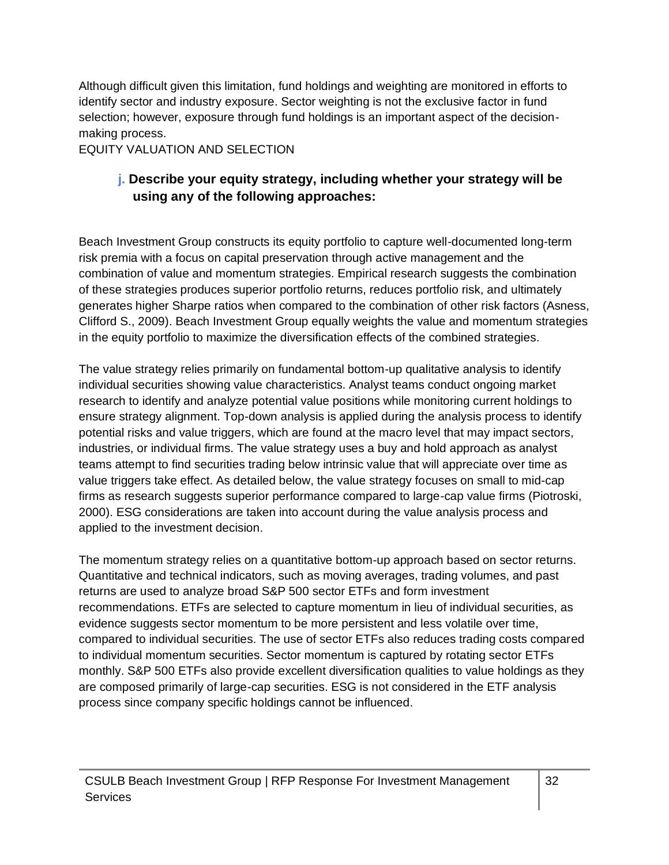Although difficult given this limitation, fund holdings and weighting are monitored in efforts to identify sector and industry exposure. Sector weighting is not the exclusive factor in fund selection; however, exposure through fund holdings is an important aspect of the decisionmaking process.

EQUITY VALUATION AND SELECTION

## **j. Describe your equity strategy, including whether your strategy will be using any of the following approaches:**

Beach Investment Group constructs its equity portfolio to capture well-documented long-term risk premia with a focus on capital preservation through active management and the combination of value and momentum strategies. Empirical research suggests the combination of these strategies produces superior portfolio returns, reduces portfolio risk, and ultimately generates higher Sharpe ratios when compared to the combination of other risk factors (Asness, Clifford S., 2009). Beach Investment Group equally weights the value and momentum strategies in the equity portfolio to maximize the diversification effects of the combined strategies.

The value strategy relies primarily on fundamental bottom-up qualitative analysis to identify individual securities showing value characteristics. Analyst teams conduct ongoing market research to identify and analyze potential value positions while monitoring current holdings to ensure strategy alignment. Top-down analysis is applied during the analysis process to identify potential risks and value triggers, which are found at the macro level that may impact sectors, industries, or individual firms. The value strategy uses a buy and hold approach as analyst teams attempt to find securities trading below intrinsic value that will appreciate over time as value triggers take effect. As detailed below, the value strategy focuses on small to mid-cap firms as research suggests superior performance compared to large-cap value firms (Piotroski, 2000). ESG considerations are taken into account during the value analysis process and applied to the investment decision.

The momentum strategy relies on a quantitative bottom-up approach based on sector returns. Quantitative and technical indicators, such as moving averages, trading volumes, and past returns are used to analyze broad S&P 500 sector ETFs and form investment recommendations. ETFs are selected to capture momentum in lieu of individual securities, as evidence suggests sector momentum to be more persistent and less volatile over time, compared to individual securities. The use of sector ETFs also reduces trading costs compared to individual momentum securities. Sector momentum is captured by rotating sector ETFs monthly. S&P 500 ETFs also provide excellent diversification qualities to value holdings as they are composed primarily of large-cap securities. ESG is not considered in the ETF analysis process since company specific holdings cannot be influenced.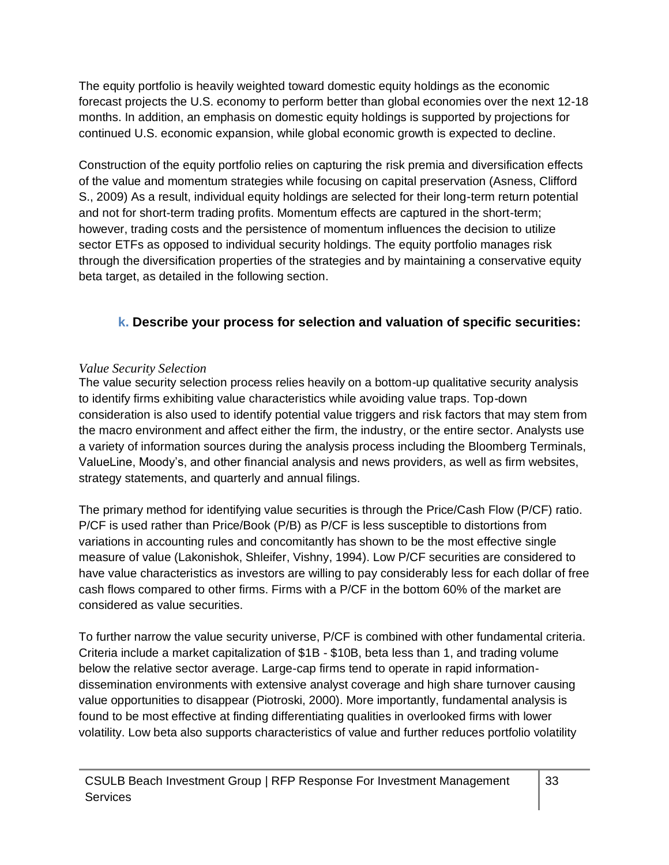The equity portfolio is heavily weighted toward domestic equity holdings as the economic forecast projects the U.S. economy to perform better than global economies over the next 12-18 months. In addition, an emphasis on domestic equity holdings is supported by projections for continued U.S. economic expansion, while global economic growth is expected to decline.

Construction of the equity portfolio relies on capturing the risk premia and diversification effects of the value and momentum strategies while focusing on capital preservation (Asness, Clifford S., 2009) As a result, individual equity holdings are selected for their long-term return potential and not for short-term trading profits. Momentum effects are captured in the short-term; however, trading costs and the persistence of momentum influences the decision to utilize sector ETFs as opposed to individual security holdings. The equity portfolio manages risk through the diversification properties of the strategies and by maintaining a conservative equity beta target, as detailed in the following section.

## **k. Describe your process for selection and valuation of specific securities:**

#### *Value Security Selection*

The value security selection process relies heavily on a bottom-up qualitative security analysis to identify firms exhibiting value characteristics while avoiding value traps. Top-down consideration is also used to identify potential value triggers and risk factors that may stem from the macro environment and affect either the firm, the industry, or the entire sector. Analysts use a variety of information sources during the analysis process including the Bloomberg Terminals, ValueLine, Moody's, and other financial analysis and news providers, as well as firm websites, strategy statements, and quarterly and annual filings.

The primary method for identifying value securities is through the Price/Cash Flow (P/CF) ratio. P/CF is used rather than Price/Book (P/B) as P/CF is less susceptible to distortions from variations in accounting rules and concomitantly has shown to be the most effective single measure of value (Lakonishok, Shleifer, Vishny, 1994). Low P/CF securities are considered to have value characteristics as investors are willing to pay considerably less for each dollar of free cash flows compared to other firms. Firms with a P/CF in the bottom 60% of the market are considered as value securities.

To further narrow the value security universe, P/CF is combined with other fundamental criteria. Criteria include a market capitalization of \$1B - \$10B, beta less than 1, and trading volume below the relative sector average. Large-cap firms tend to operate in rapid informationdissemination environments with extensive analyst coverage and high share turnover causing value opportunities to disappear (Piotroski, 2000). More importantly, fundamental analysis is found to be most effective at finding differentiating qualities in overlooked firms with lower volatility. Low beta also supports characteristics of value and further reduces portfolio volatility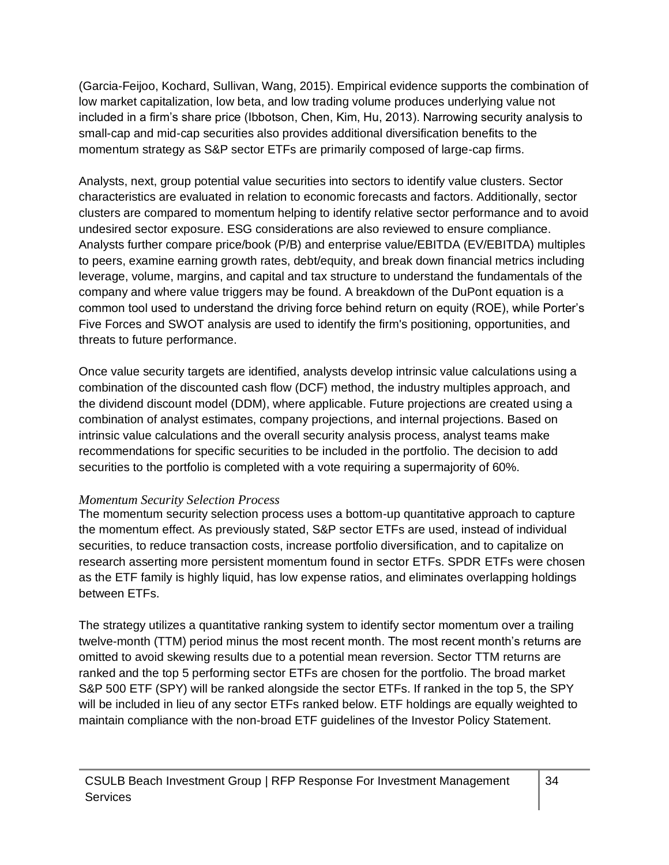(Garcia-Feijoo, Kochard, Sullivan, Wang, 2015). Empirical evidence supports the combination of low market capitalization, low beta, and low trading volume produces underlying value not included in a firm's share price (Ibbotson, Chen, Kim, Hu, 2013). Narrowing security analysis to small-cap and mid-cap securities also provides additional diversification benefits to the momentum strategy as S&P sector ETFs are primarily composed of large-cap firms.

Analysts, next, group potential value securities into sectors to identify value clusters. Sector characteristics are evaluated in relation to economic forecasts and factors. Additionally, sector clusters are compared to momentum helping to identify relative sector performance and to avoid undesired sector exposure. ESG considerations are also reviewed to ensure compliance. Analysts further compare price/book (P/B) and enterprise value/EBITDA (EV/EBITDA) multiples to peers, examine earning growth rates, debt/equity, and break down financial metrics including leverage, volume, margins, and capital and tax structure to understand the fundamentals of the company and where value triggers may be found. A breakdown of the DuPont equation is a common tool used to understand the driving force behind return on equity (ROE), while Porter's Five Forces and SWOT analysis are used to identify the firm's positioning, opportunities, and threats to future performance.

Once value security targets are identified, analysts develop intrinsic value calculations using a combination of the discounted cash flow (DCF) method, the industry multiples approach, and the dividend discount model (DDM), where applicable. Future projections are created using a combination of analyst estimates, company projections, and internal projections. Based on intrinsic value calculations and the overall security analysis process, analyst teams make recommendations for specific securities to be included in the portfolio. The decision to add securities to the portfolio is completed with a vote requiring a supermajority of 60%.

#### *Momentum Security Selection Process*

The momentum security selection process uses a bottom-up quantitative approach to capture the momentum effect. As previously stated, S&P sector ETFs are used, instead of individual securities, to reduce transaction costs, increase portfolio diversification, and to capitalize on research asserting more persistent momentum found in sector ETFs. SPDR ETFs were chosen as the ETF family is highly liquid, has low expense ratios, and eliminates overlapping holdings between ETFs.

The strategy utilizes a quantitative ranking system to identify sector momentum over a trailing twelve-month (TTM) period minus the most recent month. The most recent month's returns are omitted to avoid skewing results due to a potential mean reversion. Sector TTM returns are ranked and the top 5 performing sector ETFs are chosen for the portfolio. The broad market S&P 500 ETF (SPY) will be ranked alongside the sector ETFs. If ranked in the top 5, the SPY will be included in lieu of any sector ETFs ranked below. ETF holdings are equally weighted to maintain compliance with the non-broad ETF guidelines of the Investor Policy Statement.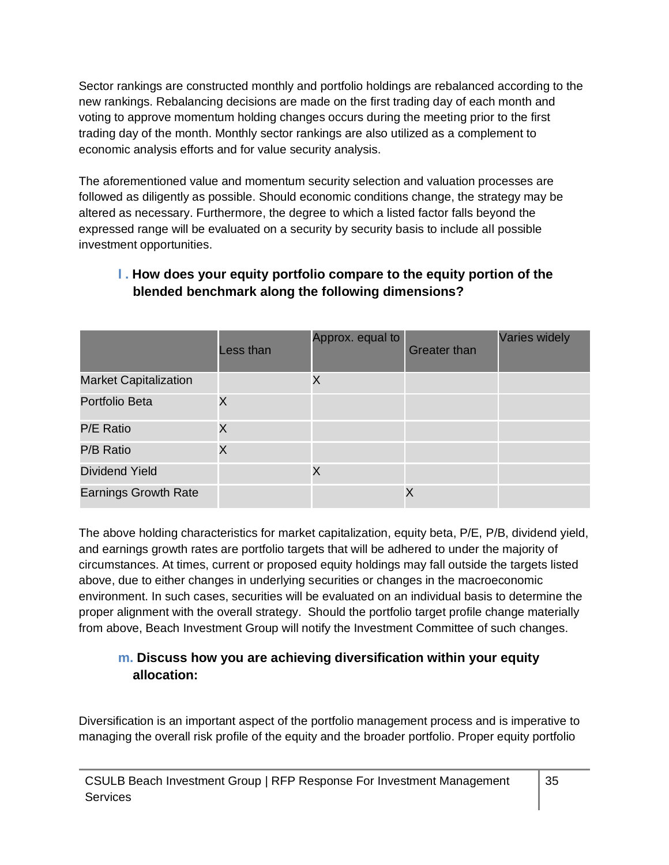Sector rankings are constructed monthly and portfolio holdings are rebalanced according to the new rankings. Rebalancing decisions are made on the first trading day of each month and voting to approve momentum holding changes occurs during the meeting prior to the first trading day of the month. Monthly sector rankings are also utilized as a complement to economic analysis efforts and for value security analysis.

The aforementioned value and momentum security selection and valuation processes are followed as diligently as possible. Should economic conditions change, the strategy may be altered as necessary. Furthermore, the degree to which a listed factor falls beyond the expressed range will be evaluated on a security by security basis to include all possible investment opportunities.

|                              | Less than | Approx. equal to | <b>Greater than</b> | <b>Varies widely</b> |
|------------------------------|-----------|------------------|---------------------|----------------------|
| <b>Market Capitalization</b> |           | X                |                     |                      |
| Portfolio Beta               | X         |                  |                     |                      |
| P/E Ratio                    | X         |                  |                     |                      |
| P/B Ratio                    | X         |                  |                     |                      |
| <b>Dividend Yield</b>        |           | Χ                |                     |                      |
| <b>Earnings Growth Rate</b>  |           |                  | X                   |                      |

## **l . How does your equity portfolio compare to the equity portion of the blended benchmark along the following dimensions?**

The above holding characteristics for market capitalization, equity beta, P/E, P/B, dividend yield, and earnings growth rates are portfolio targets that will be adhered to under the majority of circumstances. At times, current or proposed equity holdings may fall outside the targets listed above, due to either changes in underlying securities or changes in the macroeconomic environment. In such cases, securities will be evaluated on an individual basis to determine the proper alignment with the overall strategy. Should the portfolio target profile change materially from above, Beach Investment Group will notify the Investment Committee of such changes.

## **m. Discuss how you are achieving diversification within your equity allocation:**

Diversification is an important aspect of the portfolio management process and is imperative to managing the overall risk profile of the equity and the broader portfolio. Proper equity portfolio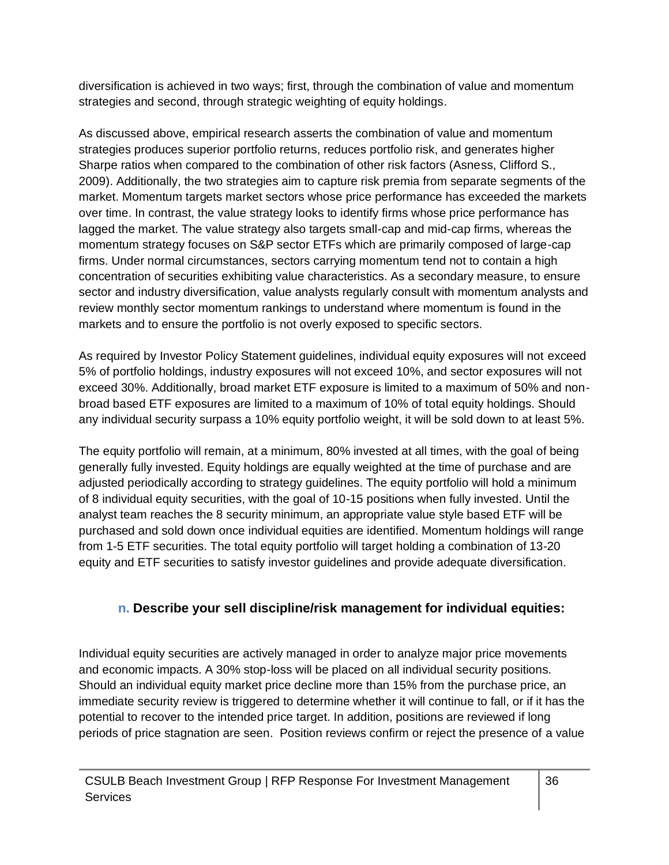diversification is achieved in two ways; first, through the combination of value and momentum strategies and second, through strategic weighting of equity holdings.

As discussed above, empirical research asserts the combination of value and momentum strategies produces superior portfolio returns, reduces portfolio risk, and generates higher Sharpe ratios when compared to the combination of other risk factors (Asness, Clifford S., 2009). Additionally, the two strategies aim to capture risk premia from separate segments of the market. Momentum targets market sectors whose price performance has exceeded the markets over time. In contrast, the value strategy looks to identify firms whose price performance has lagged the market. The value strategy also targets small-cap and mid-cap firms, whereas the momentum strategy focuses on S&P sector ETFs which are primarily composed of large-cap firms. Under normal circumstances, sectors carrying momentum tend not to contain a high concentration of securities exhibiting value characteristics. As a secondary measure, to ensure sector and industry diversification, value analysts regularly consult with momentum analysts and review monthly sector momentum rankings to understand where momentum is found in the markets and to ensure the portfolio is not overly exposed to specific sectors.

As required by Investor Policy Statement guidelines, individual equity exposures will not exceed 5% of portfolio holdings, industry exposures will not exceed 10%, and sector exposures will not exceed 30%. Additionally, broad market ETF exposure is limited to a maximum of 50% and nonbroad based ETF exposures are limited to a maximum of 10% of total equity holdings. Should any individual security surpass a 10% equity portfolio weight, it will be sold down to at least 5%.

The equity portfolio will remain, at a minimum, 80% invested at all times, with the goal of being generally fully invested. Equity holdings are equally weighted at the time of purchase and are adjusted periodically according to strategy guidelines. The equity portfolio will hold a minimum of 8 individual equity securities, with the goal of 10-15 positions when fully invested. Until the analyst team reaches the 8 security minimum, an appropriate value style based ETF will be purchased and sold down once individual equities are identified. Momentum holdings will range from 1-5 ETF securities. The total equity portfolio will target holding a combination of 13-20 equity and ETF securities to satisfy investor guidelines and provide adequate diversification.

## **n. Describe your sell discipline/risk management for individual equities:**

Individual equity securities are actively managed in order to analyze major price movements and economic impacts. A 30% stop-loss will be placed on all individual security positions. Should an individual equity market price decline more than 15% from the purchase price, an immediate security review is triggered to determine whether it will continue to fall, or if it has the potential to recover to the intended price target. In addition, positions are reviewed if long periods of price stagnation are seen. Position reviews confirm or reject the presence of a value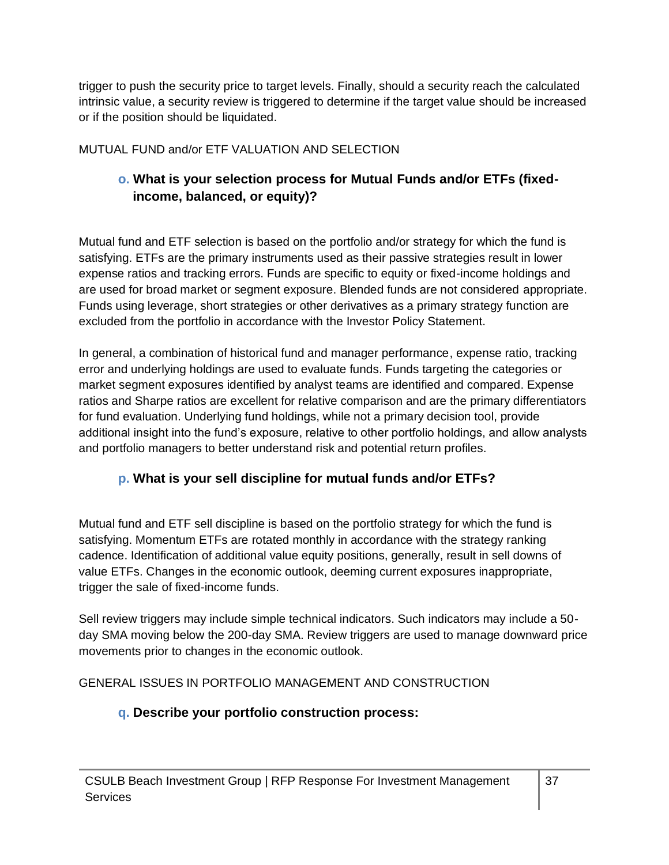trigger to push the security price to target levels. Finally, should a security reach the calculated intrinsic value, a security review is triggered to determine if the target value should be increased or if the position should be liquidated.

## MUTUAL FUND and/or ETF VALUATION AND SELECTION

## **o. What is your selection process for Mutual Funds and/or ETFs (fixedincome, balanced, or equity)?**

Mutual fund and ETF selection is based on the portfolio and/or strategy for which the fund is satisfying. ETFs are the primary instruments used as their passive strategies result in lower expense ratios and tracking errors. Funds are specific to equity or fixed-income holdings and are used for broad market or segment exposure. Blended funds are not considered appropriate. Funds using leverage, short strategies or other derivatives as a primary strategy function are excluded from the portfolio in accordance with the Investor Policy Statement.

In general, a combination of historical fund and manager performance, expense ratio, tracking error and underlying holdings are used to evaluate funds. Funds targeting the categories or market segment exposures identified by analyst teams are identified and compared. Expense ratios and Sharpe ratios are excellent for relative comparison and are the primary differentiators for fund evaluation. Underlying fund holdings, while not a primary decision tool, provide additional insight into the fund's exposure, relative to other portfolio holdings, and allow analysts and portfolio managers to better understand risk and potential return profiles.

## **p. What is your sell discipline for mutual funds and/or ETFs?**

Mutual fund and ETF sell discipline is based on the portfolio strategy for which the fund is satisfying. Momentum ETFs are rotated monthly in accordance with the strategy ranking cadence. Identification of additional value equity positions, generally, result in sell downs of value ETFs. Changes in the economic outlook, deeming current exposures inappropriate, trigger the sale of fixed-income funds.

Sell review triggers may include simple technical indicators. Such indicators may include a 50 day SMA moving below the 200-day SMA. Review triggers are used to manage downward price movements prior to changes in the economic outlook.

GENERAL ISSUES IN PORTFOLIO MANAGEMENT AND CONSTRUCTION

## **q. Describe your portfolio construction process:**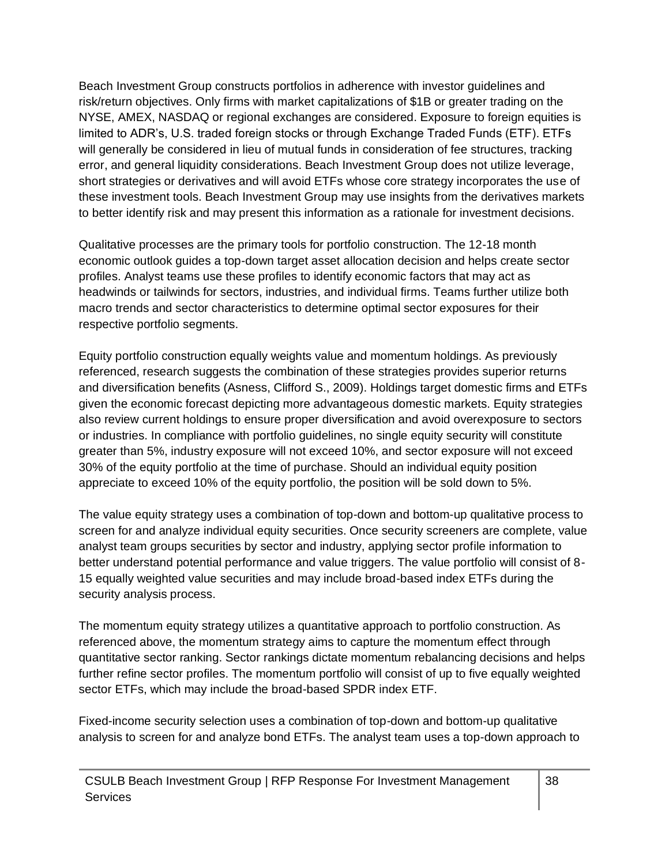Beach Investment Group constructs portfolios in adherence with investor guidelines and risk/return objectives. Only firms with market capitalizations of \$1B or greater trading on the NYSE, AMEX, NASDAQ or regional exchanges are considered. Exposure to foreign equities is limited to ADR's, U.S. traded foreign stocks or through Exchange Traded Funds (ETF). ETFs will generally be considered in lieu of mutual funds in consideration of fee structures, tracking error, and general liquidity considerations. Beach Investment Group does not utilize leverage, short strategies or derivatives and will avoid ETFs whose core strategy incorporates the use of these investment tools. Beach Investment Group may use insights from the derivatives markets to better identify risk and may present this information as a rationale for investment decisions.

Qualitative processes are the primary tools for portfolio construction. The 12-18 month economic outlook guides a top-down target asset allocation decision and helps create sector profiles. Analyst teams use these profiles to identify economic factors that may act as headwinds or tailwinds for sectors, industries, and individual firms. Teams further utilize both macro trends and sector characteristics to determine optimal sector exposures for their respective portfolio segments.

Equity portfolio construction equally weights value and momentum holdings. As previously referenced, research suggests the combination of these strategies provides superior returns and diversification benefits (Asness, Clifford S., 2009). Holdings target domestic firms and ETFs given the economic forecast depicting more advantageous domestic markets. Equity strategies also review current holdings to ensure proper diversification and avoid overexposure to sectors or industries. In compliance with portfolio guidelines, no single equity security will constitute greater than 5%, industry exposure will not exceed 10%, and sector exposure will not exceed 30% of the equity portfolio at the time of purchase. Should an individual equity position appreciate to exceed 10% of the equity portfolio, the position will be sold down to 5%.

The value equity strategy uses a combination of top-down and bottom-up qualitative process to screen for and analyze individual equity securities. Once security screeners are complete, value analyst team groups securities by sector and industry, applying sector profile information to better understand potential performance and value triggers. The value portfolio will consist of 8- 15 equally weighted value securities and may include broad-based index ETFs during the security analysis process.

The momentum equity strategy utilizes a quantitative approach to portfolio construction. As referenced above, the momentum strategy aims to capture the momentum effect through quantitative sector ranking. Sector rankings dictate momentum rebalancing decisions and helps further refine sector profiles. The momentum portfolio will consist of up to five equally weighted sector ETFs, which may include the broad-based SPDR index ETF.

Fixed-income security selection uses a combination of top-down and bottom-up qualitative analysis to screen for and analyze bond ETFs. The analyst team uses a top-down approach to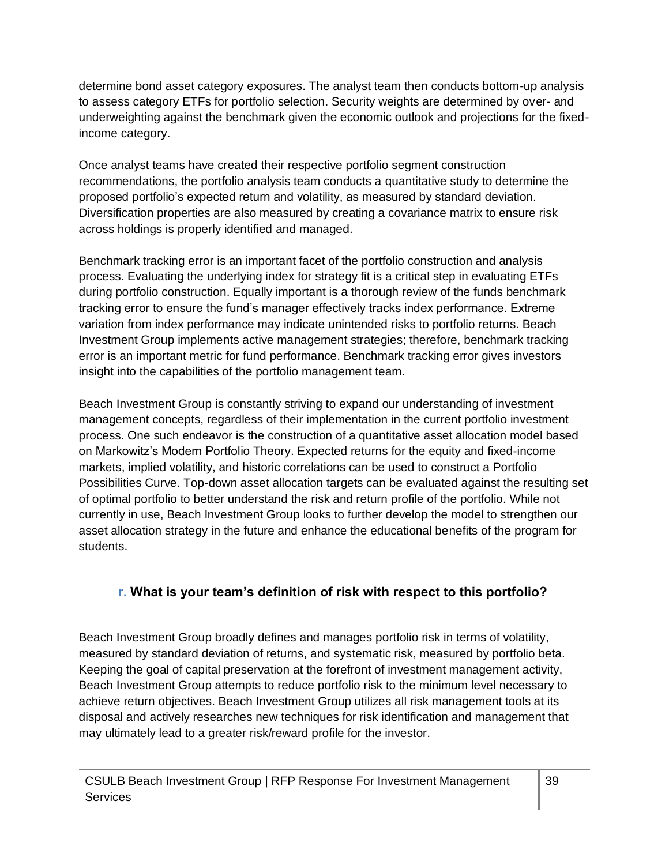determine bond asset category exposures. The analyst team then conducts bottom-up analysis to assess category ETFs for portfolio selection. Security weights are determined by over- and underweighting against the benchmark given the economic outlook and projections for the fixedincome category.

Once analyst teams have created their respective portfolio segment construction recommendations, the portfolio analysis team conducts a quantitative study to determine the proposed portfolio's expected return and volatility, as measured by standard deviation. Diversification properties are also measured by creating a covariance matrix to ensure risk across holdings is properly identified and managed.

Benchmark tracking error is an important facet of the portfolio construction and analysis process. Evaluating the underlying index for strategy fit is a critical step in evaluating ETFs during portfolio construction. Equally important is a thorough review of the funds benchmark tracking error to ensure the fund's manager effectively tracks index performance. Extreme variation from index performance may indicate unintended risks to portfolio returns. Beach Investment Group implements active management strategies; therefore, benchmark tracking error is an important metric for fund performance. Benchmark tracking error gives investors insight into the capabilities of the portfolio management team.

Beach Investment Group is constantly striving to expand our understanding of investment management concepts, regardless of their implementation in the current portfolio investment process. One such endeavor is the construction of a quantitative asset allocation model based on Markowitz's Modern Portfolio Theory. Expected returns for the equity and fixed-income markets, implied volatility, and historic correlations can be used to construct a Portfolio Possibilities Curve. Top-down asset allocation targets can be evaluated against the resulting set of optimal portfolio to better understand the risk and return profile of the portfolio. While not currently in use, Beach Investment Group looks to further develop the model to strengthen our asset allocation strategy in the future and enhance the educational benefits of the program for students.

## **r. What is your team's definition of risk with respect to this portfolio?**

Beach Investment Group broadly defines and manages portfolio risk in terms of volatility, measured by standard deviation of returns, and systematic risk, measured by portfolio beta. Keeping the goal of capital preservation at the forefront of investment management activity, Beach Investment Group attempts to reduce portfolio risk to the minimum level necessary to achieve return objectives. Beach Investment Group utilizes all risk management tools at its disposal and actively researches new techniques for risk identification and management that may ultimately lead to a greater risk/reward profile for the investor.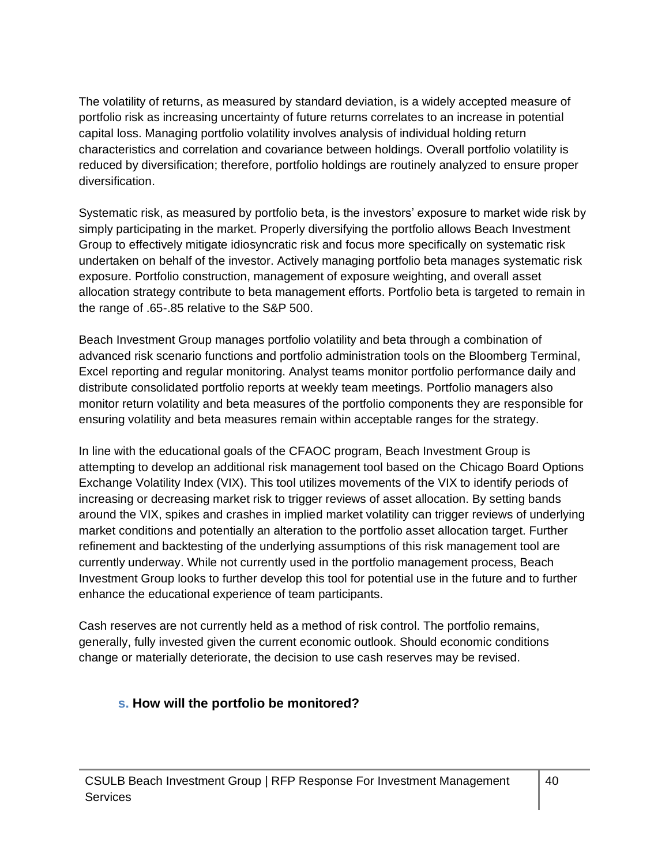The volatility of returns, as measured by standard deviation, is a widely accepted measure of portfolio risk as increasing uncertainty of future returns correlates to an increase in potential capital loss. Managing portfolio volatility involves analysis of individual holding return characteristics and correlation and covariance between holdings. Overall portfolio volatility is reduced by diversification; therefore, portfolio holdings are routinely analyzed to ensure proper diversification.

Systematic risk, as measured by portfolio beta, is the investors' exposure to market wide risk by simply participating in the market. Properly diversifying the portfolio allows Beach Investment Group to effectively mitigate idiosyncratic risk and focus more specifically on systematic risk undertaken on behalf of the investor. Actively managing portfolio beta manages systematic risk exposure. Portfolio construction, management of exposure weighting, and overall asset allocation strategy contribute to beta management efforts. Portfolio beta is targeted to remain in the range of .65-.85 relative to the S&P 500.

Beach Investment Group manages portfolio volatility and beta through a combination of advanced risk scenario functions and portfolio administration tools on the Bloomberg Terminal, Excel reporting and regular monitoring. Analyst teams monitor portfolio performance daily and distribute consolidated portfolio reports at weekly team meetings. Portfolio managers also monitor return volatility and beta measures of the portfolio components they are responsible for ensuring volatility and beta measures remain within acceptable ranges for the strategy.

In line with the educational goals of the CFAOC program, Beach Investment Group is attempting to develop an additional risk management tool based on the Chicago Board Options Exchange Volatility Index (VIX). This tool utilizes movements of the VIX to identify periods of increasing or decreasing market risk to trigger reviews of asset allocation. By setting bands around the VIX, spikes and crashes in implied market volatility can trigger reviews of underlying market conditions and potentially an alteration to the portfolio asset allocation target. Further refinement and backtesting of the underlying assumptions of this risk management tool are currently underway. While not currently used in the portfolio management process, Beach Investment Group looks to further develop this tool for potential use in the future and to further enhance the educational experience of team participants.

Cash reserves are not currently held as a method of risk control. The portfolio remains, generally, fully invested given the current economic outlook. Should economic conditions change or materially deteriorate, the decision to use cash reserves may be revised.

#### **s. How will the portfolio be monitored?**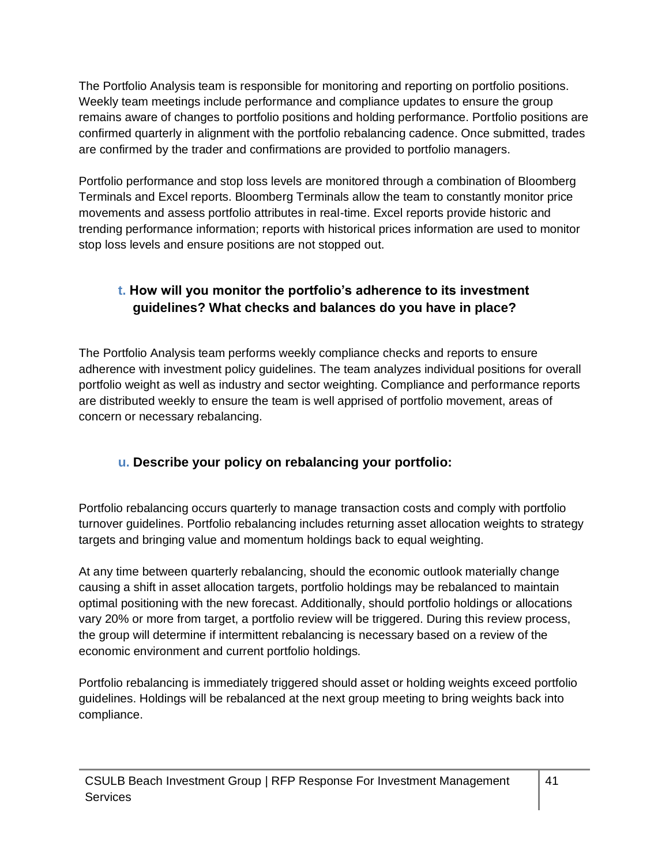The Portfolio Analysis team is responsible for monitoring and reporting on portfolio positions. Weekly team meetings include performance and compliance updates to ensure the group remains aware of changes to portfolio positions and holding performance. Portfolio positions are confirmed quarterly in alignment with the portfolio rebalancing cadence. Once submitted, trades are confirmed by the trader and confirmations are provided to portfolio managers.

Portfolio performance and stop loss levels are monitored through a combination of Bloomberg Terminals and Excel reports. Bloomberg Terminals allow the team to constantly monitor price movements and assess portfolio attributes in real-time. Excel reports provide historic and trending performance information; reports with historical prices information are used to monitor stop loss levels and ensure positions are not stopped out.

## **t. How will you monitor the portfolio's adherence to its investment guidelines? What checks and balances do you have in place?**

The Portfolio Analysis team performs weekly compliance checks and reports to ensure adherence with investment policy guidelines. The team analyzes individual positions for overall portfolio weight as well as industry and sector weighting. Compliance and performance reports are distributed weekly to ensure the team is well apprised of portfolio movement, areas of concern or necessary rebalancing.

## **u. Describe your policy on rebalancing your portfolio:**

Portfolio rebalancing occurs quarterly to manage transaction costs and comply with portfolio turnover guidelines. Portfolio rebalancing includes returning asset allocation weights to strategy targets and bringing value and momentum holdings back to equal weighting.

At any time between quarterly rebalancing, should the economic outlook materially change causing a shift in asset allocation targets, portfolio holdings may be rebalanced to maintain optimal positioning with the new forecast. Additionally, should portfolio holdings or allocations vary 20% or more from target, a portfolio review will be triggered. During this review process, the group will determine if intermittent rebalancing is necessary based on a review of the economic environment and current portfolio holdings.

Portfolio rebalancing is immediately triggered should asset or holding weights exceed portfolio guidelines. Holdings will be rebalanced at the next group meeting to bring weights back into compliance.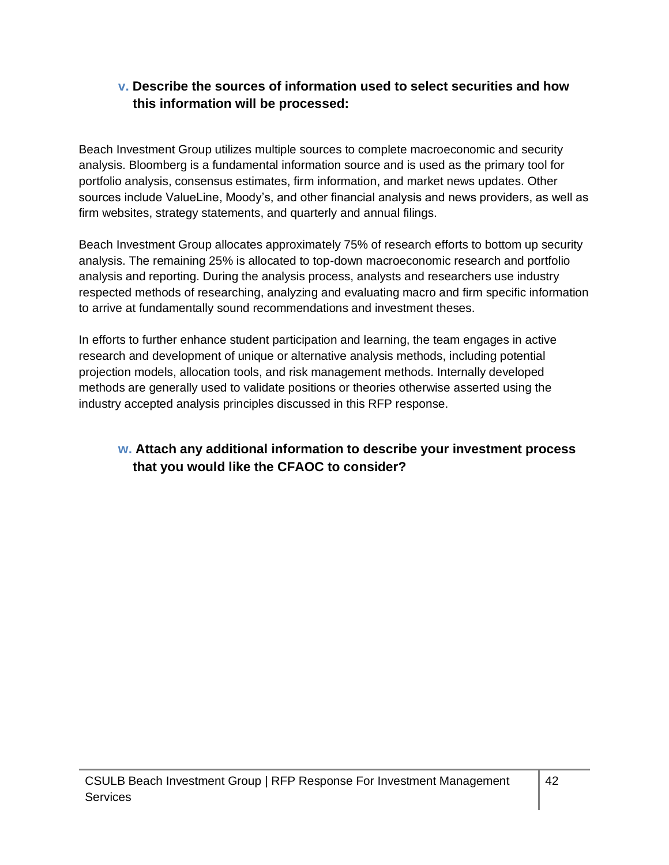## **v. Describe the sources of information used to select securities and how this information will be processed:**

Beach Investment Group utilizes multiple sources to complete macroeconomic and security analysis. Bloomberg is a fundamental information source and is used as the primary tool for portfolio analysis, consensus estimates, firm information, and market news updates. Other sources include ValueLine, Moody's, and other financial analysis and news providers, as well as firm websites, strategy statements, and quarterly and annual filings.

Beach Investment Group allocates approximately 75% of research efforts to bottom up security analysis. The remaining 25% is allocated to top-down macroeconomic research and portfolio analysis and reporting. During the analysis process, analysts and researchers use industry respected methods of researching, analyzing and evaluating macro and firm specific information to arrive at fundamentally sound recommendations and investment theses.

In efforts to further enhance student participation and learning, the team engages in active research and development of unique or alternative analysis methods, including potential projection models, allocation tools, and risk management methods. Internally developed methods are generally used to validate positions or theories otherwise asserted using the industry accepted analysis principles discussed in this RFP response.

## **w. Attach any additional information to describe your investment process that you would like the CFAOC to consider?**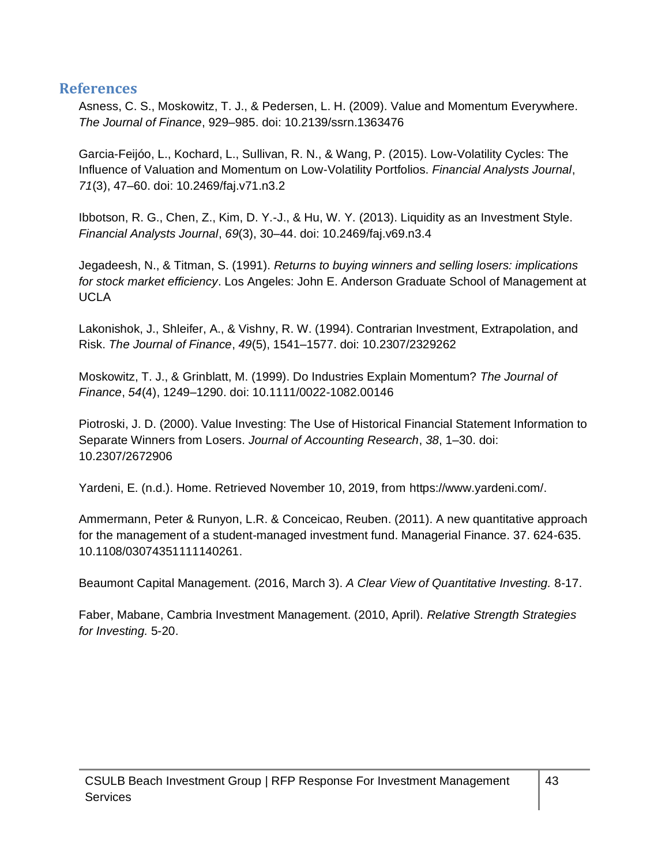#### **References**

Asness, C. S., Moskowitz, T. J., & Pedersen, L. H. (2009). Value and Momentum Everywhere. *The Journal of Finance*, 929–985. doi: 10.2139/ssrn.1363476

Garcia-Feijóo, L., Kochard, L., Sullivan, R. N., & Wang, P. (2015). Low-Volatility Cycles: The Influence of Valuation and Momentum on Low-Volatility Portfolios. *Financial Analysts Journal*, *71*(3), 47–60. doi: 10.2469/faj.v71.n3.2

Ibbotson, R. G., Chen, Z., Kim, D. Y.-J., & Hu, W. Y. (2013). Liquidity as an Investment Style. *Financial Analysts Journal*, *69*(3), 30–44. doi: 10.2469/faj.v69.n3.4

Jegadeesh, N., & Titman, S. (1991). *Returns to buying winners and selling losers: implications for stock market efficiency*. Los Angeles: John E. Anderson Graduate School of Management at UCLA

Lakonishok, J., Shleifer, A., & Vishny, R. W. (1994). Contrarian Investment, Extrapolation, and Risk. *The Journal of Finance*, *49*(5), 1541–1577. doi: 10.2307/2329262

Moskowitz, T. J., & Grinblatt, M. (1999). Do Industries Explain Momentum? *The Journal of Finance*, *54*(4), 1249–1290. doi: 10.1111/0022-1082.00146

Piotroski, J. D. (2000). Value Investing: The Use of Historical Financial Statement Information to Separate Winners from Losers. *Journal of Accounting Research*, *38*, 1–30. doi: 10.2307/2672906

Yardeni, E. (n.d.). Home. Retrieved November 10, 2019, from https://www.yardeni.com/.

Ammermann, Peter & Runyon, L.R. & Conceicao, Reuben. (2011). A new quantitative approach for the management of a student-managed investment fund. Managerial Finance. 37. 624-635. 10.1108/03074351111140261.

Beaumont Capital Management. (2016, March 3). *A Clear View of Quantitative Investing.* 8-17.

Faber, Mabane, Cambria Investment Management. (2010, April). *Relative Strength Strategies for Investing.* 5-20.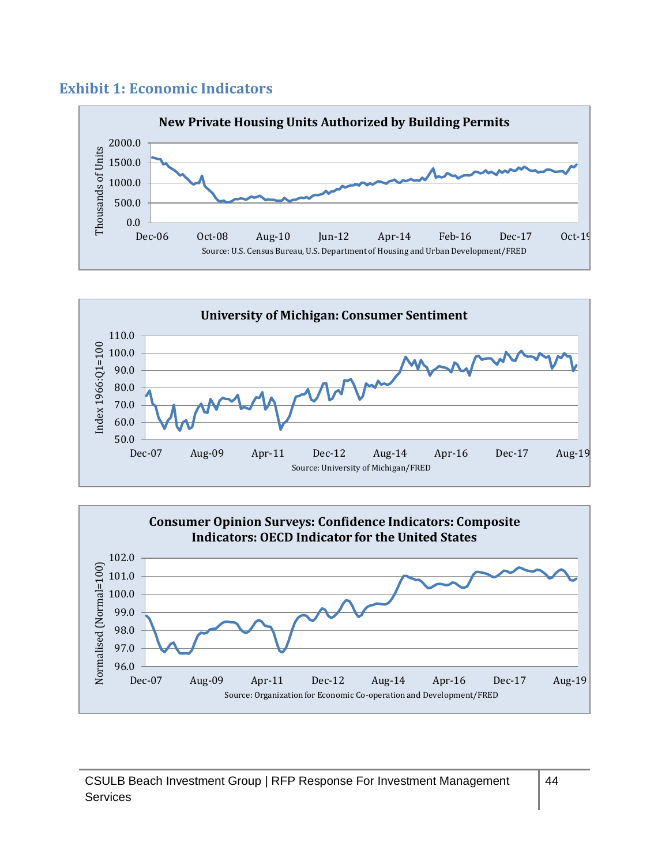





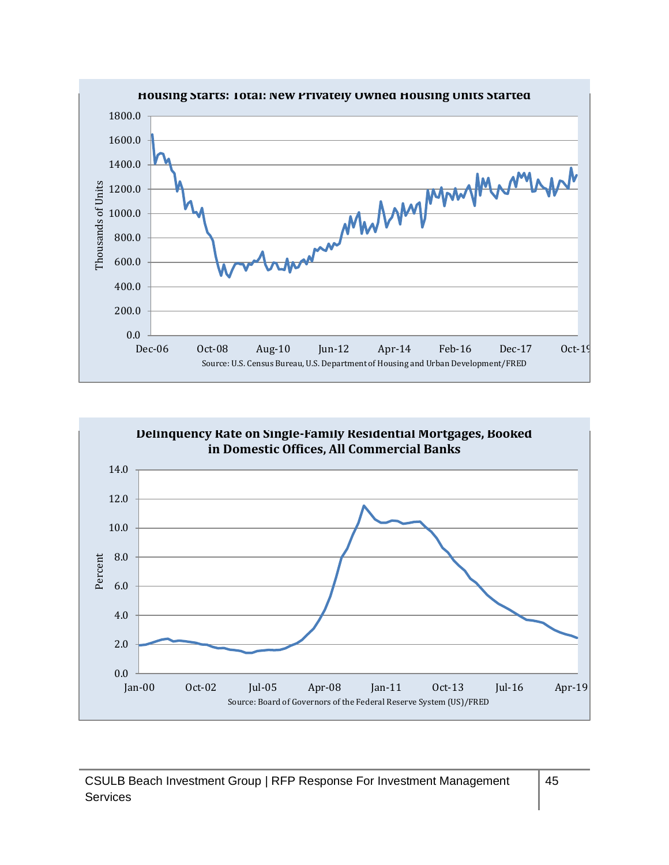

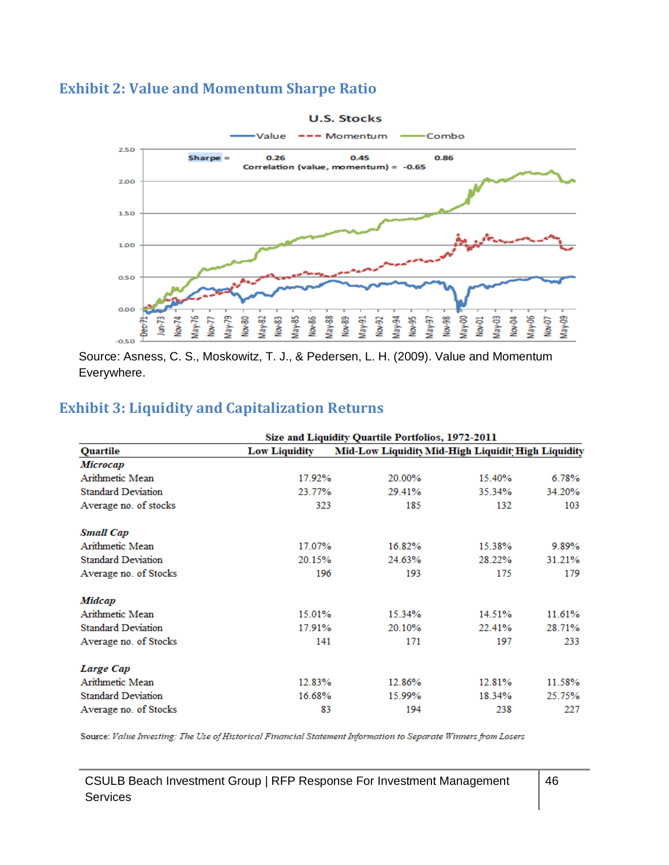## **Exhibit 2: Value and Momentum Sharpe Ratio**



Source: Asness, C. S., Moskowitz, T. J., & Pedersen, L. H. (2009). Value and Momentum Everywhere.

## **Exhibit 3: Liquidity and Capitalization Returns**

|                           | Size and Liquidity Quartile Portfolios, 1972-2011 |        |                                                    |        |  |
|---------------------------|---------------------------------------------------|--------|----------------------------------------------------|--------|--|
| Quartile                  | <b>Low Liquidity</b>                              |        | Mid-Low Liquidity Mid-High Liquidit High Liquidity |        |  |
| Microcap                  |                                                   |        |                                                    |        |  |
| Arithmetic Mean           | 17.92%                                            | 20.00% | 15.40%                                             | 6.78%  |  |
| <b>Standard Deviation</b> | 23.77%                                            | 29 41% | 35.34%                                             | 34.20% |  |
| Average no. of stocks     | 323                                               | 185    | 132                                                | 103    |  |
| <b>Small Cap</b>          |                                                   |        |                                                    |        |  |
| Arithmetic Mean           | 17.07%                                            | 16.82% | 15.38%                                             | 9.89%  |  |
| <b>Standard Deviation</b> | 20.15%                                            | 24 63% | 28.22%                                             | 31.21% |  |
| Average no. of Stocks     | 196                                               | 193    | 175                                                | 179    |  |
| Midcap                    |                                                   |        |                                                    |        |  |
| Arithmetic Mean           | 15.01%                                            | 15.34% | 14.51%                                             | 11.61% |  |
| <b>Standard Deviation</b> | 17.91%                                            | 20.10% | 22.41%                                             | 28.71% |  |
| Average no. of Stocks     | 141                                               | 171    | 197                                                | 233    |  |
| Large Cap                 |                                                   |        |                                                    |        |  |
| Arithmetic Mean           | 12.83%                                            | 12.86% | 12.81%                                             | 11.58% |  |
| <b>Standard Deviation</b> | 16.68%                                            | 15.99% | 18.34%                                             | 25.75% |  |
| Average no. of Stocks     | 83                                                | 194    | 238                                                | 227    |  |

Source: Value Investing: The Use of Historical Financial Statement Information to Separate Winners from Losers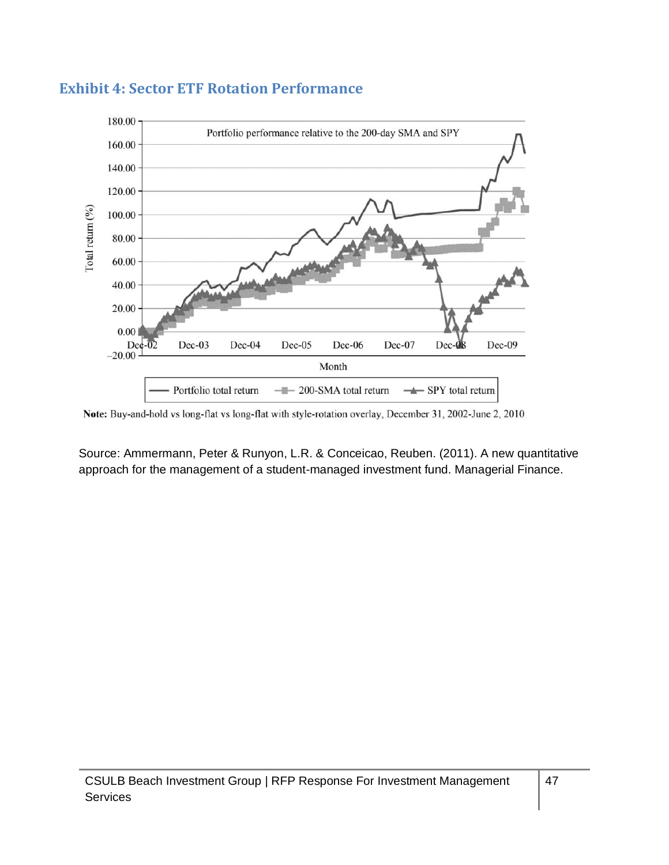

## **Exhibit 4: Sector ETF Rotation Performance**

Source: Ammermann, Peter & Runyon, L.R. & Conceicao, Reuben. (2011). A new quantitative approach for the management of a student-managed investment fund. Managerial Finance.

Note: Buy-and-hold vs long-flat vs long-flat with style-rotation overlay, December 31, 2002-June 2, 2010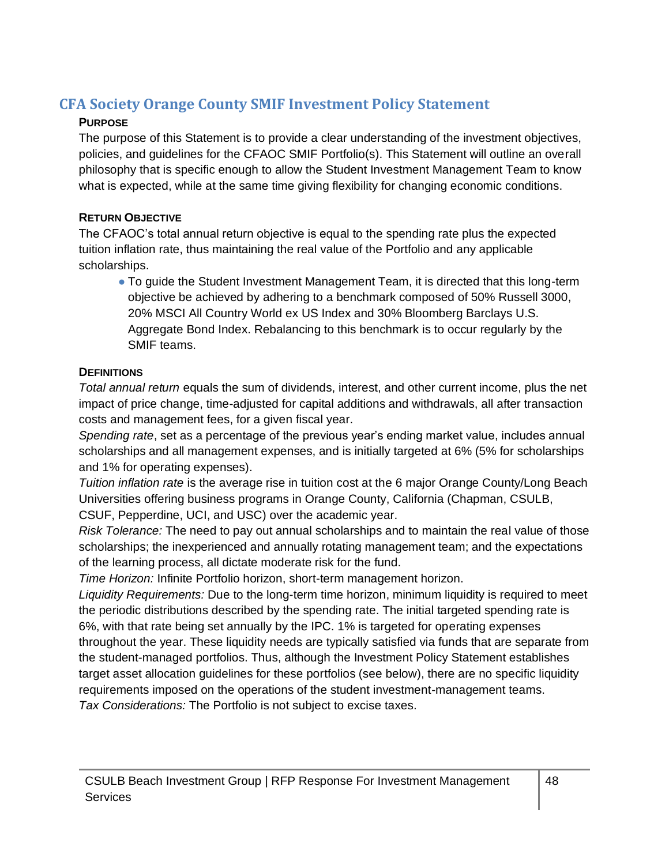## **CFA Society Orange County SMIF Investment Policy Statement**

#### **PURPOSE**

The purpose of this Statement is to provide a clear understanding of the investment objectives, policies, and guidelines for the CFAOC SMIF Portfolio(s). This Statement will outline an overall philosophy that is specific enough to allow the Student Investment Management Team to know what is expected, while at the same time giving flexibility for changing economic conditions.

#### **RETURN OBJECTIVE**

The CFAOC's total annual return objective is equal to the spending rate plus the expected tuition inflation rate, thus maintaining the real value of the Portfolio and any applicable scholarships.

● To guide the Student Investment Management Team, it is directed that this long-term objective be achieved by adhering to a benchmark composed of 50% Russell 3000, 20% MSCI All Country World ex US Index and 30% Bloomberg Barclays U.S. Aggregate Bond Index. Rebalancing to this benchmark is to occur regularly by the SMIF teams.

## **DEFINITIONS**

*Total annual return* equals the sum of dividends, interest, and other current income, plus the net impact of price change, time-adjusted for capital additions and withdrawals, all after transaction costs and management fees, for a given fiscal year.

*Spending rate*, set as a percentage of the previous year's ending market value, includes annual scholarships and all management expenses, and is initially targeted at 6% (5% for scholarships and 1% for operating expenses).

*Tuition inflation rate* is the average rise in tuition cost at the 6 major Orange County/Long Beach Universities offering business programs in Orange County, California (Chapman, CSULB, CSUF, Pepperdine, UCI, and USC) over the academic year.

*Risk Tolerance:* The need to pay out annual scholarships and to maintain the real value of those scholarships; the inexperienced and annually rotating management team; and the expectations of the learning process, all dictate moderate risk for the fund.

*Time Horizon:* Infinite Portfolio horizon, short-term management horizon.

*Liquidity Requirements:* Due to the long-term time horizon, minimum liquidity is required to meet the periodic distributions described by the spending rate. The initial targeted spending rate is 6%, with that rate being set annually by the IPC. 1% is targeted for operating expenses throughout the year. These liquidity needs are typically satisfied via funds that are separate from the student-managed portfolios. Thus, although the Investment Policy Statement establishes target asset allocation guidelines for these portfolios (see below), there are no specific liquidity requirements imposed on the operations of the student investment-management teams. *Tax Considerations:* The Portfolio is not subject to excise taxes.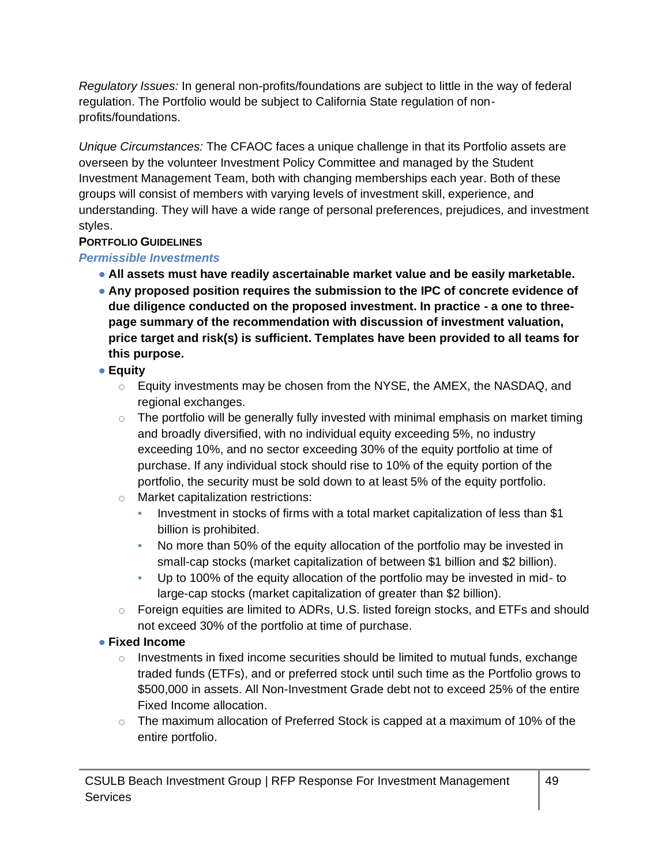*Regulatory Issues:* In general non-profits/foundations are subject to little in the way of federal regulation. The Portfolio would be subject to California State regulation of nonprofits/foundations.

*Unique Circumstances:* The CFAOC faces a unique challenge in that its Portfolio assets are overseen by the volunteer Investment Policy Committee and managed by the Student Investment Management Team, both with changing memberships each year. Both of these groups will consist of members with varying levels of investment skill, experience, and understanding. They will have a wide range of personal preferences, prejudices, and investment styles.

#### **PORTFOLIO GUIDELINES**

#### *Permissible Investments*

- **All assets must have readily ascertainable market value and be easily marketable.**
- **Any proposed position requires the submission to the IPC of concrete evidence of due diligence conducted on the proposed investment. In practice - a one to threepage summary of the recommendation with discussion of investment valuation, price target and risk(s) is sufficient. Templates have been provided to all teams for this purpose.**
- **Equity**
	- o Equity investments may be chosen from the NYSE, the AMEX, the NASDAQ, and regional exchanges.
	- $\circ$  The portfolio will be generally fully invested with minimal emphasis on market timing and broadly diversified, with no individual equity exceeding 5%, no industry exceeding 10%, and no sector exceeding 30% of the equity portfolio at time of purchase. If any individual stock should rise to 10% of the equity portion of the portfolio, the security must be sold down to at least 5% of the equity portfolio.
	- o Market capitalization restrictions:
		- Investment in stocks of firms with a total market capitalization of less than \$1 billion is prohibited.
		- No more than 50% of the equity allocation of the portfolio may be invested in small-cap stocks (market capitalization of between \$1 billion and \$2 billion).
		- Up to 100% of the equity allocation of the portfolio may be invested in mid- to large-cap stocks (market capitalization of greater than \$2 billion).
	- o Foreign equities are limited to ADRs, U.S. listed foreign stocks, and ETFs and should not exceed 30% of the portfolio at time of purchase.

## ● **Fixed Income**

- $\circ$  Investments in fixed income securities should be limited to mutual funds, exchange traded funds (ETFs), and or preferred stock until such time as the Portfolio grows to \$500,000 in assets. All Non-Investment Grade debt not to exceed 25% of the entire Fixed Income allocation.
- $\circ$  The maximum allocation of Preferred Stock is capped at a maximum of 10% of the entire portfolio.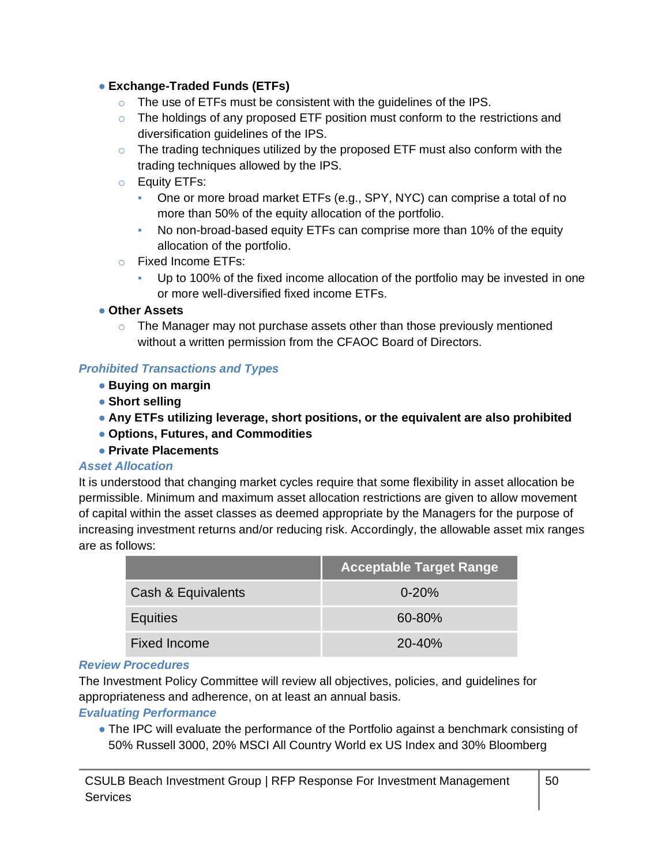#### ● **Exchange-Traded Funds (ETFs)**

- o The use of ETFs must be consistent with the guidelines of the IPS.
- $\circ$  The holdings of any proposed ETF position must conform to the restrictions and diversification guidelines of the IPS.
- o The trading techniques utilized by the proposed ETF must also conform with the trading techniques allowed by the IPS.
- o Equity ETFs:
	- One or more broad market ETFs (e.g., SPY, NYC) can comprise a total of no more than 50% of the equity allocation of the portfolio.
	- No non-broad-based equity ETFs can comprise more than 10% of the equity allocation of the portfolio.
- o Fixed Income ETFs:
	- Up to 100% of the fixed income allocation of the portfolio may be invested in one or more well-diversified fixed income ETFs.

#### ● **Other Assets**

o The Manager may not purchase assets other than those previously mentioned without a written permission from the CFAOC Board of Directors.

#### *Prohibited Transactions and Types*

- **Buying on margin**
- **Short selling**
- **Any ETFs utilizing leverage, short positions, or the equivalent are also prohibited**
- **Options, Futures, and Commodities**
- **Private Placements**

#### *Asset Allocation*

It is understood that changing market cycles require that some flexibility in asset allocation be permissible. Minimum and maximum asset allocation restrictions are given to allow movement of capital within the asset classes as deemed appropriate by the Managers for the purpose of increasing investment returns and/or reducing risk. Accordingly, the allowable asset mix ranges are as follows:

|                     | <b>Acceptable Target Range</b> |
|---------------------|--------------------------------|
| Cash & Equivalents  | $0 - 20%$                      |
| <b>Equities</b>     | 60-80%                         |
| <b>Fixed Income</b> | $20 - 40%$                     |

#### *Review Procedures*

The Investment Policy Committee will review all objectives, policies, and guidelines for appropriateness and adherence, on at least an annual basis.

#### *Evaluating Performance*

● The IPC will evaluate the performance of the Portfolio against a benchmark consisting of 50% Russell 3000, 20% MSCI All Country World ex US Index and 30% Bloomberg